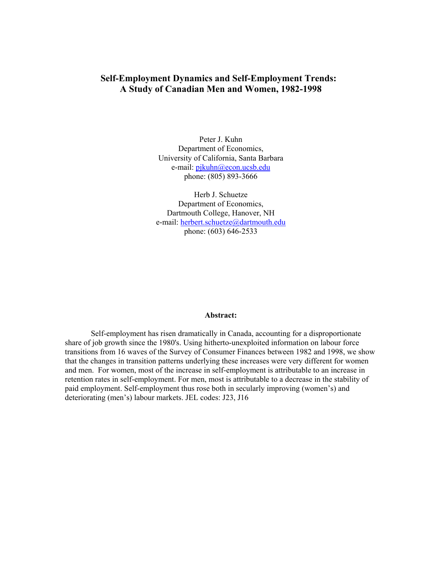## **Self-Employment Dynamics and Self-Employment Trends: A Study of Canadian Men and Women, 1982-1998**

Peter J. Kuhn Department of Economics, University of California, Santa Barbara e-mail: pjkuhn@econ.ucsb.edu phone: (805) 893-3666

Herb J. Schuetze Department of Economics, Dartmouth College, Hanover, NH e-mail: herbert.schuetze@dartmouth.edu phone: (603) 646-2533

### **Abstract:**

Self-employment has risen dramatically in Canada, accounting for a disproportionate share of job growth since the 1980's. Using hitherto-unexploited information on labour force transitions from 16 waves of the Survey of Consumer Finances between 1982 and 1998, we show that the changes in transition patterns underlying these increases were very different for women and men. For women, most of the increase in self-employment is attributable to an increase in retention rates in self-employment. For men, most is attributable to a decrease in the stability of paid employment. Self-employment thus rose both in secularly improving (women's) and deteriorating (men's) labour markets. JEL codes: J23, J16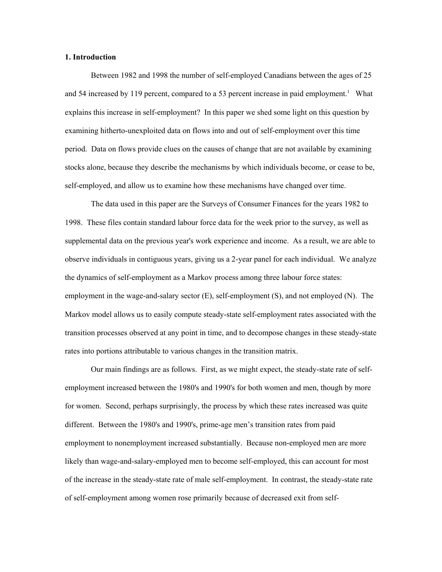### **1. Introduction**

Between 1982 and 1998 the number of self-employed Canadians between the ages of 25 and 54 increased by 119 percent, compared to a 53 percent increase in paid employment.<sup>1</sup> What explains this increase in self-employment? In this paper we shed some light on this question by examining hitherto-unexploited data on flows into and out of self-employment over this time period. Data on flows provide clues on the causes of change that are not available by examining stocks alone, because they describe the mechanisms by which individuals become, or cease to be, self-employed, and allow us to examine how these mechanisms have changed over time.

The data used in this paper are the Surveys of Consumer Finances for the years 1982 to 1998. These files contain standard labour force data for the week prior to the survey, as well as supplemental data on the previous year's work experience and income. As a result, we are able to observe individuals in contiguous years, giving us a 2-year panel for each individual. We analyze the dynamics of self-employment as a Markov process among three labour force states: employment in the wage-and-salary sector (E), self-employment (S), and not employed (N). The Markov model allows us to easily compute steady-state self-employment rates associated with the transition processes observed at any point in time, and to decompose changes in these steady-state rates into portions attributable to various changes in the transition matrix.

Our main findings are as follows. First, as we might expect, the steady-state rate of selfemployment increased between the 1980's and 1990's for both women and men, though by more for women. Second, perhaps surprisingly, the process by which these rates increased was quite different. Between the 1980's and 1990's, prime-age men's transition rates from paid employment to nonemployment increased substantially. Because non-employed men are more likely than wage-and-salary-employed men to become self-employed, this can account for most of the increase in the steady-state rate of male self-employment. In contrast, the steady-state rate of self-employment among women rose primarily because of decreased exit from self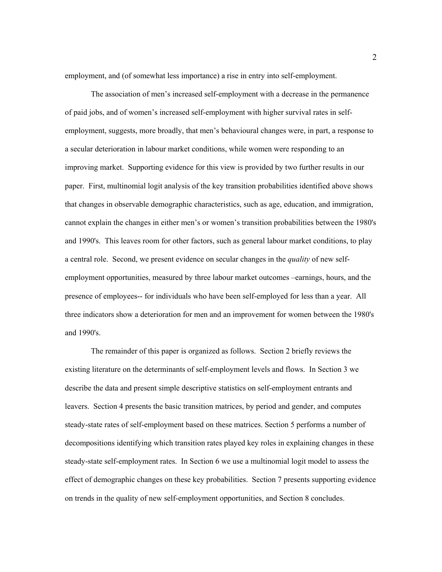employment, and (of somewhat less importance) a rise in entry into self-employment.

The association of men's increased self-employment with a decrease in the permanence of paid jobs, and of women's increased self-employment with higher survival rates in selfemployment, suggests, more broadly, that men's behavioural changes were, in part, a response to a secular deterioration in labour market conditions, while women were responding to an improving market. Supporting evidence for this view is provided by two further results in our paper. First, multinomial logit analysis of the key transition probabilities identified above shows that changes in observable demographic characteristics, such as age, education, and immigration, cannot explain the changes in either men's or women's transition probabilities between the 1980's and 1990's. This leaves room for other factors, such as general labour market conditions, to play a central role. Second, we present evidence on secular changes in the *quality* of new selfemployment opportunities, measured by three labour market outcomes –earnings, hours, and the presence of employees-- for individuals who have been self-employed for less than a year. All three indicators show a deterioration for men and an improvement for women between the 1980's and 1990's.

The remainder of this paper is organized as follows. Section 2 briefly reviews the existing literature on the determinants of self-employment levels and flows. In Section 3 we describe the data and present simple descriptive statistics on self-employment entrants and leavers. Section 4 presents the basic transition matrices, by period and gender, and computes steady-state rates of self-employment based on these matrices. Section 5 performs a number of decompositions identifying which transition rates played key roles in explaining changes in these steady-state self-employment rates. In Section 6 we use a multinomial logit model to assess the effect of demographic changes on these key probabilities. Section 7 presents supporting evidence on trends in the quality of new self-employment opportunities, and Section 8 concludes.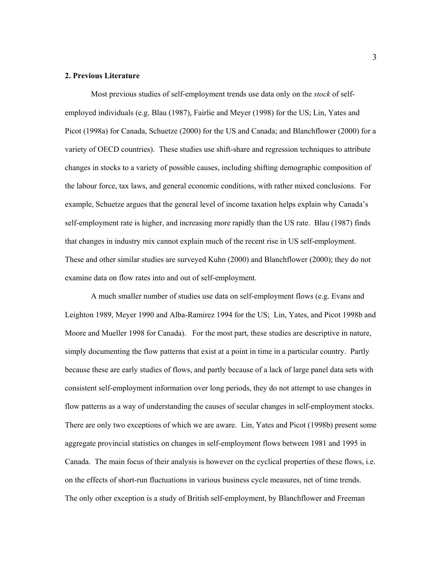### **2. Previous Literature**

Most previous studies of self-employment trends use data only on the *stock* of selfemployed individuals (e.g. Blau (1987), Fairlie and Meyer (1998) for the US; Lin, Yates and Picot (1998a) for Canada, Schuetze (2000) for the US and Canada; and Blanchflower (2000) for a variety of OECD countries). These studies use shift-share and regression techniques to attribute changes in stocks to a variety of possible causes, including shifting demographic composition of the labour force, tax laws, and general economic conditions, with rather mixed conclusions. For example, Schuetze argues that the general level of income taxation helps explain why Canada's self-employment rate is higher, and increasing more rapidly than the US rate. Blau (1987) finds that changes in industry mix cannot explain much of the recent rise in US self-employment. These and other similar studies are surveyed Kuhn (2000) and Blanchflower (2000); they do not examine data on flow rates into and out of self-employment.

A much smaller number of studies use data on self-employment flows (e.g. Evans and Leighton 1989, Meyer 1990 and Alba-Ramirez 1994 for the US; Lin, Yates, and Picot 1998b and Moore and Mueller 1998 for Canada). For the most part, these studies are descriptive in nature, simply documenting the flow patterns that exist at a point in time in a particular country. Partly because these are early studies of flows, and partly because of a lack of large panel data sets with consistent self-employment information over long periods, they do not attempt to use changes in flow patterns as a way of understanding the causes of secular changes in self-employment stocks. There are only two exceptions of which we are aware. Lin, Yates and Picot (1998b) present some aggregate provincial statistics on changes in self-employment flows between 1981 and 1995 in Canada. The main focus of their analysis is however on the cyclical properties of these flows, i.e. on the effects of short-run fluctuations in various business cycle measures, net of time trends. The only other exception is a study of British self-employment, by Blanchflower and Freeman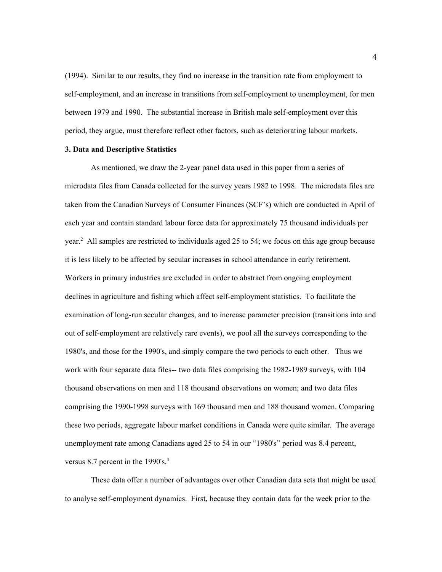(1994). Similar to our results, they find no increase in the transition rate from employment to self-employment, and an increase in transitions from self-employment to unemployment, for men between 1979 and 1990. The substantial increase in British male self-employment over this period, they argue, must therefore reflect other factors, such as deteriorating labour markets.

### **3. Data and Descriptive Statistics**

As mentioned, we draw the 2-year panel data used in this paper from a series of microdata files from Canada collected for the survey years 1982 to 1998. The microdata files are taken from the Canadian Surveys of Consumer Finances (SCF's) which are conducted in April of each year and contain standard labour force data for approximately 75 thousand individuals per year.<sup>2</sup> All samples are restricted to individuals aged 25 to 54; we focus on this age group because it is less likely to be affected by secular increases in school attendance in early retirement. Workers in primary industries are excluded in order to abstract from ongoing employment declines in agriculture and fishing which affect self-employment statistics. To facilitate the examination of long-run secular changes, and to increase parameter precision (transitions into and out of self-employment are relatively rare events), we pool all the surveys corresponding to the 1980's, and those for the 1990's, and simply compare the two periods to each other. Thus we work with four separate data files-- two data files comprising the 1982-1989 surveys, with 104 thousand observations on men and 118 thousand observations on women; and two data files comprising the 1990-1998 surveys with 169 thousand men and 188 thousand women. Comparing these two periods, aggregate labour market conditions in Canada were quite similar. The average unemployment rate among Canadians aged 25 to 54 in our "1980's" period was 8.4 percent, versus 8.7 percent in the  $1990's$ <sup>3</sup>.

These data offer a number of advantages over other Canadian data sets that might be used to analyse self-employment dynamics. First, because they contain data for the week prior to the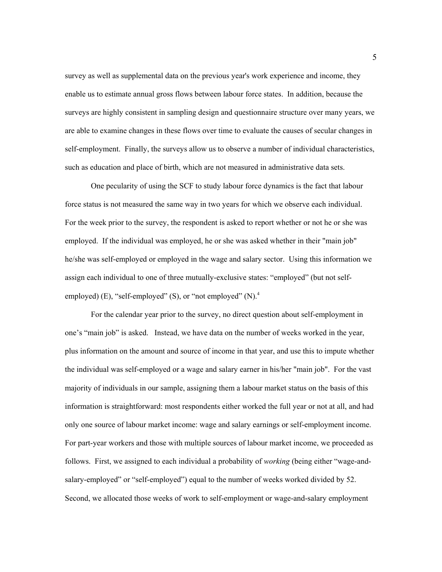survey as well as supplemental data on the previous year's work experience and income, they enable us to estimate annual gross flows between labour force states. In addition, because the surveys are highly consistent in sampling design and questionnaire structure over many years, we are able to examine changes in these flows over time to evaluate the causes of secular changes in self-employment. Finally, the surveys allow us to observe a number of individual characteristics, such as education and place of birth, which are not measured in administrative data sets.

One pecularity of using the SCF to study labour force dynamics is the fact that labour force status is not measured the same way in two years for which we observe each individual. For the week prior to the survey, the respondent is asked to report whether or not he or she was employed. If the individual was employed, he or she was asked whether in their "main job" he/she was self-employed or employed in the wage and salary sector. Using this information we assign each individual to one of three mutually-exclusive states: "employed" (but not selfemployed) (E), "self-employed" (S), or "not employed"  $(N)$ .<sup>4</sup>

For the calendar year prior to the survey, no direct question about self-employment in one's "main job" is asked. Instead, we have data on the number of weeks worked in the year, plus information on the amount and source of income in that year, and use this to impute whether the individual was self-employed or a wage and salary earner in his/her "main job". For the vast majority of individuals in our sample, assigning them a labour market status on the basis of this information is straightforward: most respondents either worked the full year or not at all, and had only one source of labour market income: wage and salary earnings or self-employment income. For part-year workers and those with multiple sources of labour market income, we proceeded as follows. First, we assigned to each individual a probability of *working* (being either "wage-andsalary-employed" or "self-employed") equal to the number of weeks worked divided by 52. Second, we allocated those weeks of work to self-employment or wage-and-salary employment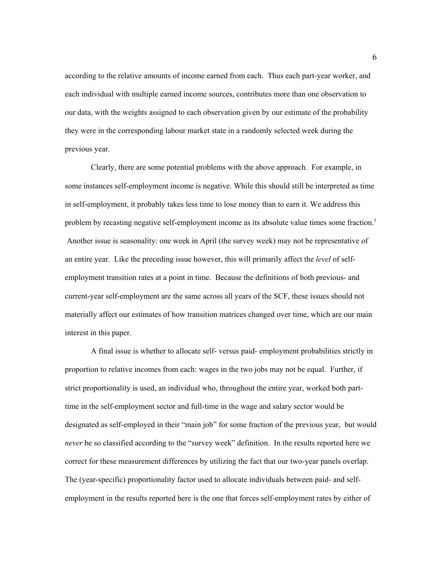according to the relative amounts of income earned from each. Thus each part-year worker, and each individual with multiple earned income sources, contributes more than one observation to our data, with the weights assigned to each observation given by our estimate of the probability they were in the corresponding labour market state in a randomly selected week during the previous year.

Clearly, there are some potential problems with the above approach. For example, in some instances self-employment income is negative. While this should still be interpreted as time in self-employment, it probably takes less time to lose money than to earn it. We address this problem by recasting negative self-employment income as its absolute value times some fraction.<sup>5</sup> Another issue is seasonality: one week in April (the survey week) may not be representative of an entire year. Like the preceding issue however, this will primarily affect the *level* of selfemployment transition rates at a point in time. Because the definitions of both previous- and current-year self-employment are the same across all years of the SCF, these issues should not materially affect our estimates of how transition matrices changed over time, which are our main interest in this paper.

A final issue is whether to allocate self- versus paid- employment probabilities strictly in proportion to relative incomes from each: wages in the two jobs may not be equal. Further, if strict proportionality is used, an individual who, throughout the entire year, worked both parttime in the self-employment sector and full-time in the wage and salary sector would be designated as self-employed in their "main job" for some fraction of the previous year, but would *never* be so classified according to the "survey week" definition. In the results reported here we correct for these measurement differences by utilizing the fact that our two-year panels overlap. The (year-specific) proportionality factor used to allocate individuals between paid- and selfemployment in the results reported here is the one that forces self-employment rates by either of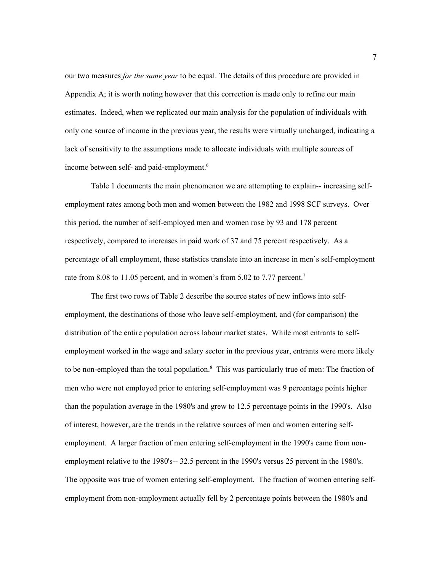our two measures *for the same year* to be equal. The details of this procedure are provided in Appendix A; it is worth noting however that this correction is made only to refine our main estimates. Indeed, when we replicated our main analysis for the population of individuals with only one source of income in the previous year, the results were virtually unchanged, indicating a lack of sensitivity to the assumptions made to allocate individuals with multiple sources of income between self- and paid-employment.<sup>6</sup>

Table 1 documents the main phenomenon we are attempting to explain-- increasing selfemployment rates among both men and women between the 1982 and 1998 SCF surveys. Over this period, the number of self-employed men and women rose by 93 and 178 percent respectively, compared to increases in paid work of 37 and 75 percent respectively. As a percentage of all employment, these statistics translate into an increase in men's self-employment rate from 8.08 to 11.05 percent, and in women's from 5.02 to 7.77 percent.<sup>7</sup>

The first two rows of Table 2 describe the source states of new inflows into selfemployment, the destinations of those who leave self-employment, and (for comparison) the distribution of the entire population across labour market states. While most entrants to selfemployment worked in the wage and salary sector in the previous year, entrants were more likely to be non-employed than the total population.<sup>8</sup> This was particularly true of men: The fraction of men who were not employed prior to entering self-employment was 9 percentage points higher than the population average in the 1980's and grew to 12.5 percentage points in the 1990's. Also of interest, however, are the trends in the relative sources of men and women entering selfemployment. A larger fraction of men entering self-employment in the 1990's came from nonemployment relative to the 1980's-- 32.5 percent in the 1990's versus 25 percent in the 1980's. The opposite was true of women entering self-employment. The fraction of women entering selfemployment from non-employment actually fell by 2 percentage points between the 1980's and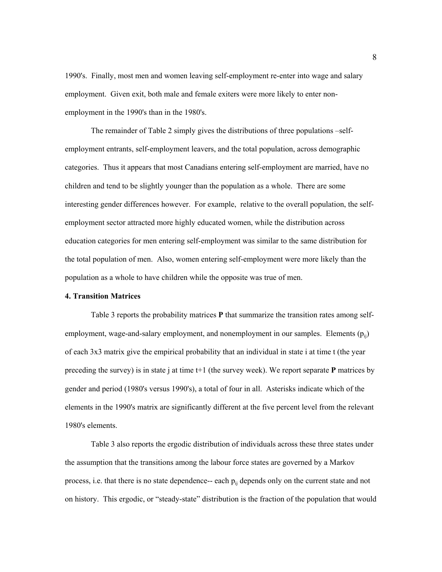1990's. Finally, most men and women leaving self-employment re-enter into wage and salary employment. Given exit, both male and female exiters were more likely to enter nonemployment in the 1990's than in the 1980's.

The remainder of Table 2 simply gives the distributions of three populations –selfemployment entrants, self-employment leavers, and the total population, across demographic categories. Thus it appears that most Canadians entering self-employment are married, have no children and tend to be slightly younger than the population as a whole. There are some interesting gender differences however. For example, relative to the overall population, the selfemployment sector attracted more highly educated women, while the distribution across education categories for men entering self-employment was similar to the same distribution for the total population of men. Also, women entering self-employment were more likely than the population as a whole to have children while the opposite was true of men.

## **4. Transition Matrices**

Table 3 reports the probability matrices **P** that summarize the transition rates among selfemployment, wage-and-salary employment, and nonemployment in our samples. Elements  $(p_{ii})$ of each 3x3 matrix give the empirical probability that an individual in state i at time t (the year preceding the survey) is in state j at time t+1 (the survey week). We report separate **P** matrices by gender and period (1980's versus 1990's), a total of four in all. Asterisks indicate which of the elements in the 1990's matrix are significantly different at the five percent level from the relevant 1980's elements.

Table 3 also reports the ergodic distribution of individuals across these three states under the assumption that the transitions among the labour force states are governed by a Markov process, i.e. that there is no state dependence-- each  $p_{ij}$  depends only on the current state and not on history. This ergodic, or "steady-state" distribution is the fraction of the population that would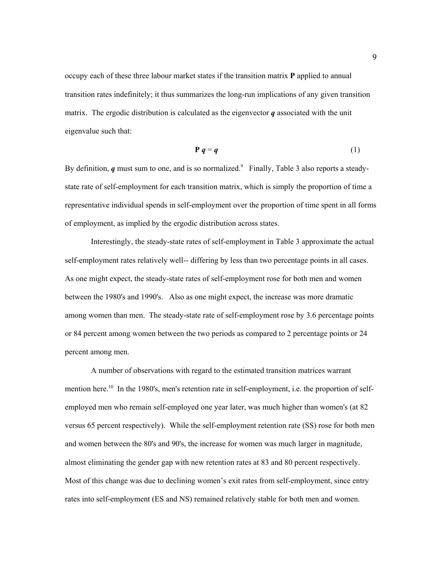occupy each of these three labour market states if the transition matrix **P** applied to annual transition rates indefinitely; it thus summarizes the long-run implications of any given transition matrix. The ergodic distribution is calculated as the eigenvector  $q$  associated with the unit eigenvalue such that:

$$
P q = q
$$
 (1)

By definition,  $q$  must sum to one, and is so normalized.<sup>9</sup> Finally, Table 3 also reports a steadystate rate of self-employment for each transition matrix, which is simply the proportion of time a representative individual spends in self-employment over the proportion of time spent in all forms of employment, as implied by the ergodic distribution across states.

Interestingly, the steady-state rates of self-employment in Table 3 approximate the actual self-employment rates relatively well-- differing by less than two percentage points in all cases. As one might expect, the steady-state rates of self-employment rose for both men and women between the 1980's and 1990's. Also as one might expect, the increase was more dramatic among women than men. The steady-state rate of self-employment rose by 3.6 percentage points or 84 percent among women between the two periods as compared to 2 percentage points or 24 percent among men.

A number of observations with regard to the estimated transition matrices warrant mention here.<sup>10</sup> In the 1980's, men's retention rate in self-employment, i.e. the proportion of selfemployed men who remain self-employed one year later, was much higher than women's (at 82 versus 65 percent respectively). While the self-employment retention rate (SS) rose for both men and women between the 80's and 90's, the increase for women was much larger in magnitude, almost eliminating the gender gap with new retention rates at 83 and 80 percent respectively. Most of this change was due to declining women's exit rates from self-employment, since entry rates into self-employment (ES and NS) remained relatively stable for both men and women.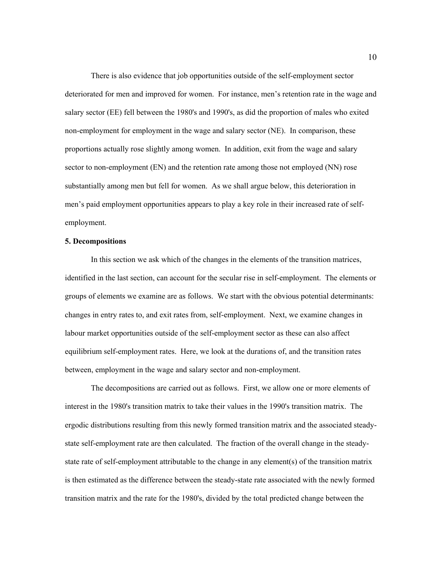There is also evidence that job opportunities outside of the self-employment sector deteriorated for men and improved for women. For instance, men's retention rate in the wage and salary sector (EE) fell between the 1980's and 1990's, as did the proportion of males who exited non-employment for employment in the wage and salary sector (NE). In comparison, these proportions actually rose slightly among women. In addition, exit from the wage and salary sector to non-employment (EN) and the retention rate among those not employed (NN) rose substantially among men but fell for women. As we shall argue below, this deterioration in men's paid employment opportunities appears to play a key role in their increased rate of selfemployment.

### **5. Decompositions**

In this section we ask which of the changes in the elements of the transition matrices, identified in the last section, can account for the secular rise in self-employment. The elements or groups of elements we examine are as follows. We start with the obvious potential determinants: changes in entry rates to, and exit rates from, self-employment. Next, we examine changes in labour market opportunities outside of the self-employment sector as these can also affect equilibrium self-employment rates. Here, we look at the durations of, and the transition rates between, employment in the wage and salary sector and non-employment.

The decompositions are carried out as follows. First, we allow one or more elements of interest in the 1980's transition matrix to take their values in the 1990's transition matrix. The ergodic distributions resulting from this newly formed transition matrix and the associated steadystate self-employment rate are then calculated. The fraction of the overall change in the steadystate rate of self-employment attributable to the change in any element(s) of the transition matrix is then estimated as the difference between the steady-state rate associated with the newly formed transition matrix and the rate for the 1980's, divided by the total predicted change between the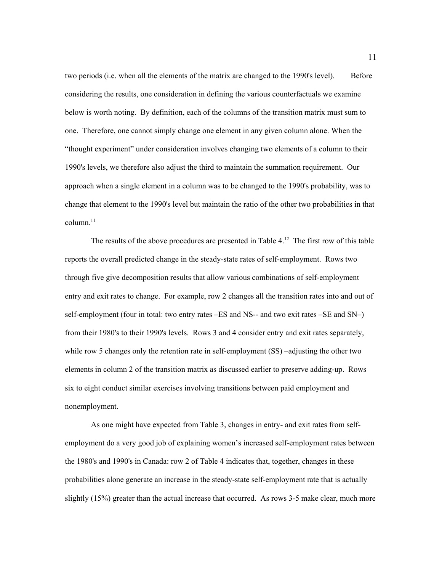two periods (i.e. when all the elements of the matrix are changed to the 1990's level). Before considering the results, one consideration in defining the various counterfactuals we examine below is worth noting. By definition, each of the columns of the transition matrix must sum to one. Therefore, one cannot simply change one element in any given column alone. When the "thought experiment" under consideration involves changing two elements of a column to their 1990's levels, we therefore also adjust the third to maintain the summation requirement. Our approach when a single element in a column was to be changed to the 1990's probability, was to change that element to the 1990's level but maintain the ratio of the other two probabilities in that column.<sup>11</sup>

The results of the above procedures are presented in Table 4.<sup>12</sup> The first row of this table reports the overall predicted change in the steady-state rates of self-employment. Rows two through five give decomposition results that allow various combinations of self-employment entry and exit rates to change. For example, row 2 changes all the transition rates into and out of self-employment (four in total: two entry rates –ES and NS-- and two exit rates –SE and SN–) from their 1980's to their 1990's levels. Rows 3 and 4 consider entry and exit rates separately, while row 5 changes only the retention rate in self-employment (SS) –adjusting the other two elements in column 2 of the transition matrix as discussed earlier to preserve adding-up. Rows six to eight conduct similar exercises involving transitions between paid employment and nonemployment.

As one might have expected from Table 3, changes in entry- and exit rates from selfemployment do a very good job of explaining women's increased self-employment rates between the 1980's and 1990's in Canada: row 2 of Table 4 indicates that, together, changes in these probabilities alone generate an increase in the steady-state self-employment rate that is actually slightly (15%) greater than the actual increase that occurred. As rows 3-5 make clear, much more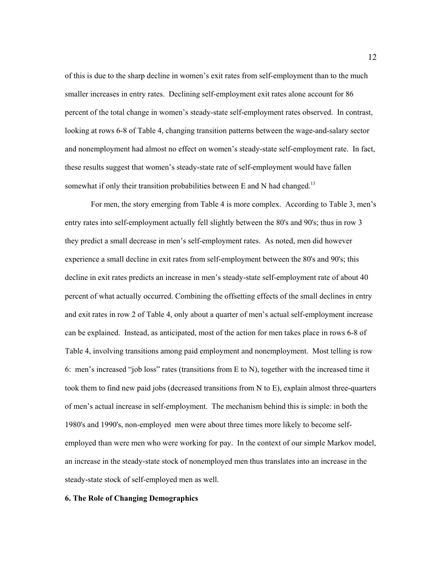of this is due to the sharp decline in women's exit rates from self-employment than to the much smaller increases in entry rates. Declining self-employment exit rates alone account for 86 percent of the total change in women's steady-state self-employment rates observed. In contrast, looking at rows 6-8 of Table 4, changing transition patterns between the wage-and-salary sector and nonemployment had almost no effect on women's steady-state self-employment rate. In fact, these results suggest that women's steady-state rate of self-employment would have fallen somewhat if only their transition probabilities between E and N had changed.<sup>13</sup>

For men, the story emerging from Table 4 is more complex. According to Table 3, men's entry rates into self-employment actually fell slightly between the 80's and 90's; thus in row 3 they predict a small decrease in men's self-employment rates. As noted, men did however experience a small decline in exit rates from self-employment between the 80's and 90's; this decline in exit rates predicts an increase in men's steady-state self-employment rate of about 40 percent of what actually occurred. Combining the offsetting effects of the small declines in entry and exit rates in row 2 of Table 4, only about a quarter of men's actual self-employment increase can be explained. Instead, as anticipated, most of the action for men takes place in rows 6-8 of Table 4, involving transitions among paid employment and nonemployment. Most telling is row 6: men's increased "job loss" rates (transitions from E to N), together with the increased time it took them to find new paid jobs (decreased transitions from N to E), explain almost three-quarters of men's actual increase in self-employment. The mechanism behind this is simple: in both the 1980's and 1990's, non-employed men were about three times more likely to become selfemployed than were men who were working for pay. In the context of our simple Markov model, an increase in the steady-state stock of nonemployed men thus translates into an increase in the steady-state stock of self-employed men as well.

### **6. The Role of Changing Demographics**

12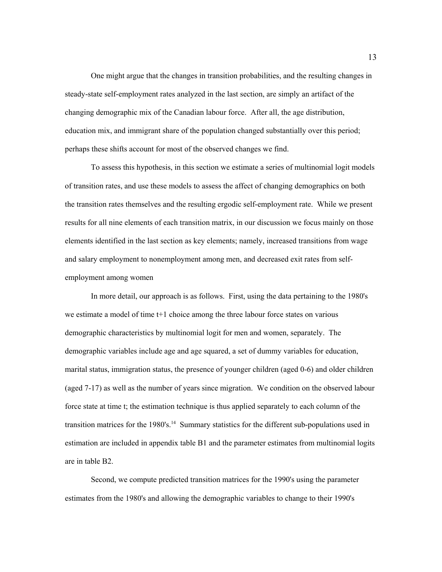One might argue that the changes in transition probabilities, and the resulting changes in steady-state self-employment rates analyzed in the last section, are simply an artifact of the changing demographic mix of the Canadian labour force. After all, the age distribution, education mix, and immigrant share of the population changed substantially over this period; perhaps these shifts account for most of the observed changes we find.

To assess this hypothesis, in this section we estimate a series of multinomial logit models of transition rates, and use these models to assess the affect of changing demographics on both the transition rates themselves and the resulting ergodic self-employment rate. While we present results for all nine elements of each transition matrix, in our discussion we focus mainly on those elements identified in the last section as key elements; namely, increased transitions from wage and salary employment to nonemployment among men, and decreased exit rates from selfemployment among women

In more detail, our approach is as follows. First, using the data pertaining to the 1980's we estimate a model of time t+1 choice among the three labour force states on various demographic characteristics by multinomial logit for men and women, separately. The demographic variables include age and age squared, a set of dummy variables for education, marital status, immigration status, the presence of younger children (aged 0-6) and older children (aged 7-17) as well as the number of years since migration. We condition on the observed labour force state at time t; the estimation technique is thus applied separately to each column of the transition matrices for the 1980's.<sup>14</sup> Summary statistics for the different sub-populations used in estimation are included in appendix table B1 and the parameter estimates from multinomial logits are in table B2.

Second, we compute predicted transition matrices for the 1990's using the parameter estimates from the 1980's and allowing the demographic variables to change to their 1990's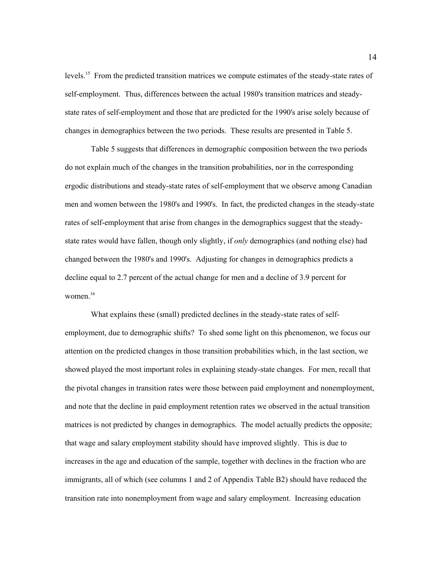levels.15 From the predicted transition matrices we compute estimates of the steady-state rates of self-employment. Thus, differences between the actual 1980's transition matrices and steadystate rates of self-employment and those that are predicted for the 1990's arise solely because of changes in demographics between the two periods. These results are presented in Table 5.

Table 5 suggests that differences in demographic composition between the two periods do not explain much of the changes in the transition probabilities, nor in the corresponding ergodic distributions and steady-state rates of self-employment that we observe among Canadian men and women between the 1980's and 1990's. In fact, the predicted changes in the steady-state rates of self-employment that arise from changes in the demographics suggest that the steadystate rates would have fallen, though only slightly, if *only* demographics (and nothing else) had changed between the 1980's and 1990's. Adjusting for changes in demographics predicts a decline equal to 2.7 percent of the actual change for men and a decline of 3.9 percent for women $16$ 

What explains these (small) predicted declines in the steady-state rates of selfemployment, due to demographic shifts? To shed some light on this phenomenon, we focus our attention on the predicted changes in those transition probabilities which, in the last section, we showed played the most important roles in explaining steady-state changes. For men, recall that the pivotal changes in transition rates were those between paid employment and nonemployment, and note that the decline in paid employment retention rates we observed in the actual transition matrices is not predicted by changes in demographics. The model actually predicts the opposite; that wage and salary employment stability should have improved slightly. This is due to increases in the age and education of the sample, together with declines in the fraction who are immigrants, all of which (see columns 1 and 2 of Appendix Table B2) should have reduced the transition rate into nonemployment from wage and salary employment. Increasing education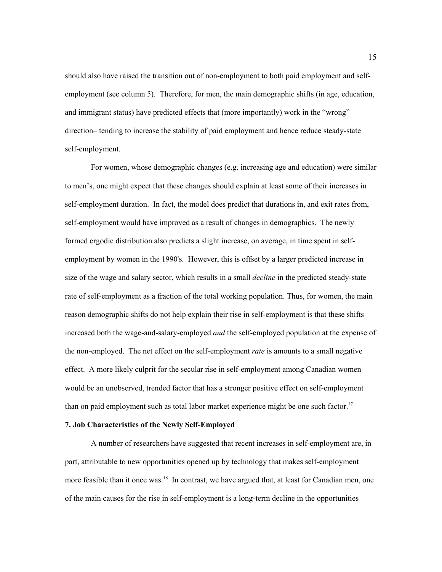should also have raised the transition out of non-employment to both paid employment and selfemployment (see column 5). Therefore, for men, the main demographic shifts (in age, education, and immigrant status) have predicted effects that (more importantly) work in the "wrong" direction– tending to increase the stability of paid employment and hence reduce steady-state self-employment.

For women, whose demographic changes (e.g. increasing age and education) were similar to men's, one might expect that these changes should explain at least some of their increases in self-employment duration. In fact, the model does predict that durations in, and exit rates from, self-employment would have improved as a result of changes in demographics. The newly formed ergodic distribution also predicts a slight increase, on average, in time spent in selfemployment by women in the 1990's. However, this is offset by a larger predicted increase in size of the wage and salary sector, which results in a small *decline* in the predicted steady-state rate of self-employment as a fraction of the total working population. Thus, for women, the main reason demographic shifts do not help explain their rise in self-employment is that these shifts increased both the wage-and-salary-employed *and* the self-employed population at the expense of the non-employed. The net effect on the self-employment *rate* is amounts to a small negative effect. A more likely culprit for the secular rise in self-employment among Canadian women would be an unobserved, trended factor that has a stronger positive effect on self-employment than on paid employment such as total labor market experience might be one such factor.<sup>17</sup>

### **7. Job Characteristics of the Newly Self-Employed**

A number of researchers have suggested that recent increases in self-employment are, in part, attributable to new opportunities opened up by technology that makes self-employment more feasible than it once was.<sup>18</sup> In contrast, we have argued that, at least for Canadian men, one of the main causes for the rise in self-employment is a long-term decline in the opportunities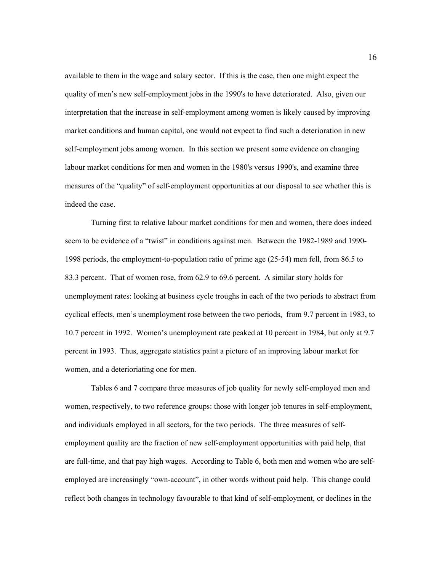available to them in the wage and salary sector. If this is the case, then one might expect the quality of men's new self-employment jobs in the 1990's to have deteriorated. Also, given our interpretation that the increase in self-employment among women is likely caused by improving market conditions and human capital, one would not expect to find such a deterioration in new self-employment jobs among women. In this section we present some evidence on changing labour market conditions for men and women in the 1980's versus 1990's, and examine three measures of the "quality" of self-employment opportunities at our disposal to see whether this is indeed the case.

Turning first to relative labour market conditions for men and women, there does indeed seem to be evidence of a "twist" in conditions against men. Between the 1982-1989 and 1990- 1998 periods, the employment-to-population ratio of prime age (25-54) men fell, from 86.5 to 83.3 percent. That of women rose, from 62.9 to 69.6 percent. A similar story holds for unemployment rates: looking at business cycle troughs in each of the two periods to abstract from cyclical effects, men's unemployment rose between the two periods, from 9.7 percent in 1983, to 10.7 percent in 1992. Women's unemployment rate peaked at 10 percent in 1984, but only at 9.7 percent in 1993. Thus, aggregate statistics paint a picture of an improving labour market for women, and a deterioriating one for men.

Tables 6 and 7 compare three measures of job quality for newly self-employed men and women, respectively, to two reference groups: those with longer job tenures in self-employment, and individuals employed in all sectors, for the two periods. The three measures of selfemployment quality are the fraction of new self-employment opportunities with paid help, that are full-time, and that pay high wages. According to Table 6, both men and women who are selfemployed are increasingly "own-account", in other words without paid help. This change could reflect both changes in technology favourable to that kind of self-employment, or declines in the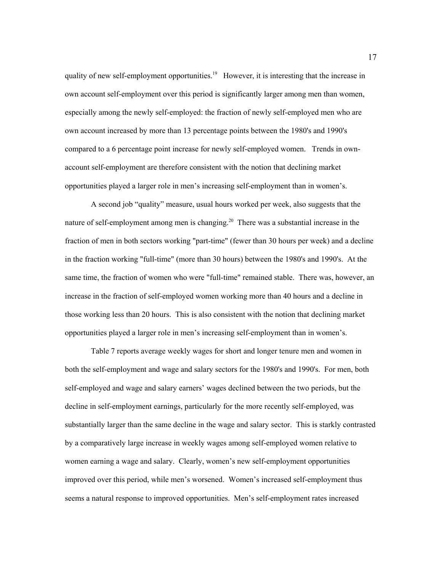quality of new self-employment opportunities.<sup>19</sup> However, it is interesting that the increase in own account self-employment over this period is significantly larger among men than women, especially among the newly self-employed: the fraction of newly self-employed men who are own account increased by more than 13 percentage points between the 1980's and 1990's compared to a 6 percentage point increase for newly self-employed women. Trends in ownaccount self-employment are therefore consistent with the notion that declining market opportunities played a larger role in men's increasing self-employment than in women's.

A second job "quality" measure, usual hours worked per week, also suggests that the nature of self-employment among men is changing.<sup>20</sup> There was a substantial increase in the fraction of men in both sectors working "part-time" (fewer than 30 hours per week) and a decline in the fraction working "full-time" (more than 30 hours) between the 1980's and 1990's. At the same time, the fraction of women who were "full-time" remained stable. There was, however, an increase in the fraction of self-employed women working more than 40 hours and a decline in those working less than 20 hours. This is also consistent with the notion that declining market opportunities played a larger role in men's increasing self-employment than in women's.

Table 7 reports average weekly wages for short and longer tenure men and women in both the self-employment and wage and salary sectors for the 1980's and 1990's. For men, both self-employed and wage and salary earners' wages declined between the two periods, but the decline in self-employment earnings, particularly for the more recently self-employed, was substantially larger than the same decline in the wage and salary sector. This is starkly contrasted by a comparatively large increase in weekly wages among self-employed women relative to women earning a wage and salary. Clearly, women's new self-employment opportunities improved over this period, while men's worsened. Women's increased self-employment thus seems a natural response to improved opportunities. Men's self-employment rates increased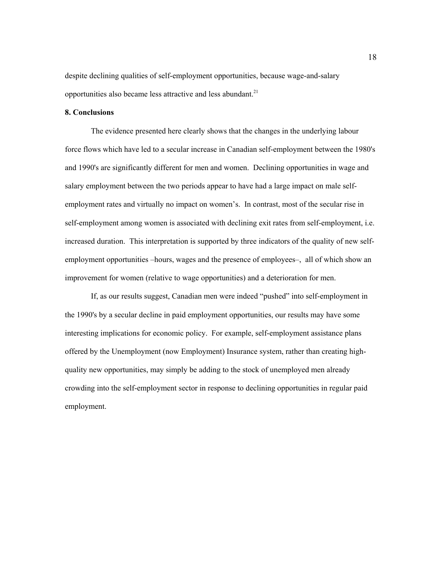despite declining qualities of self-employment opportunities, because wage-and-salary opportunities also became less attractive and less abundant.<sup>21</sup>

### **8. Conclusions**

The evidence presented here clearly shows that the changes in the underlying labour force flows which have led to a secular increase in Canadian self-employment between the 1980's and 1990's are significantly different for men and women. Declining opportunities in wage and salary employment between the two periods appear to have had a large impact on male selfemployment rates and virtually no impact on women's. In contrast, most of the secular rise in self-employment among women is associated with declining exit rates from self-employment, i.e. increased duration. This interpretation is supported by three indicators of the quality of new selfemployment opportunities –hours, wages and the presence of employees–, all of which show an improvement for women (relative to wage opportunities) and a deterioration for men.

If, as our results suggest, Canadian men were indeed "pushed" into self-employment in the 1990's by a secular decline in paid employment opportunities, our results may have some interesting implications for economic policy. For example, self-employment assistance plans offered by the Unemployment (now Employment) Insurance system, rather than creating highquality new opportunities, may simply be adding to the stock of unemployed men already crowding into the self-employment sector in response to declining opportunities in regular paid employment.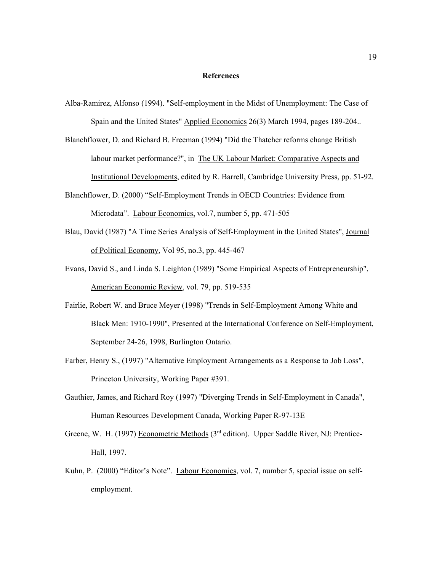#### **References**

- Alba-Ramirez, Alfonso (1994). "Self-employment in the Midst of Unemployment: The Case of Spain and the United States" Applied Economics 26(3) March 1994, pages 189-204..
- Blanchflower, D. and Richard B. Freeman (1994) "Did the Thatcher reforms change British labour market performance?", in The UK Labour Market: Comparative Aspects and Institutional Developments, edited by R. Barrell, Cambridge University Press, pp. 51-92.
- Blanchflower, D. (2000) "Self-Employment Trends in OECD Countries: Evidence from Microdata". Labour Economics, vol.7, number 5, pp. 471-505
- Blau, David (1987) "A Time Series Analysis of Self-Employment in the United States", Journal of Political Economy, Vol 95, no.3, pp. 445-467
- Evans, David S., and Linda S. Leighton (1989) "Some Empirical Aspects of Entrepreneurship", American Economic Review, vol. 79, pp. 519-535
- Fairlie, Robert W. and Bruce Meyer (1998) "Trends in Self-Employment Among White and Black Men: 1910-1990", Presented at the International Conference on Self-Employment, September 24-26, 1998, Burlington Ontario.
- Farber, Henry S., (1997) "Alternative Employment Arrangements as a Response to Job Loss", Princeton University, Working Paper #391.
- Gauthier, James, and Richard Roy (1997) "Diverging Trends in Self-Employment in Canada", Human Resources Development Canada, Working Paper R-97-13E
- Greene, W. H. (1997) Econometric Methods (3<sup>rd</sup> edition). Upper Saddle River, NJ: Prentice-Hall, 1997.
- Kuhn, P. (2000) "Editor's Note". Labour Economics, vol. 7, number 5, special issue on selfemployment.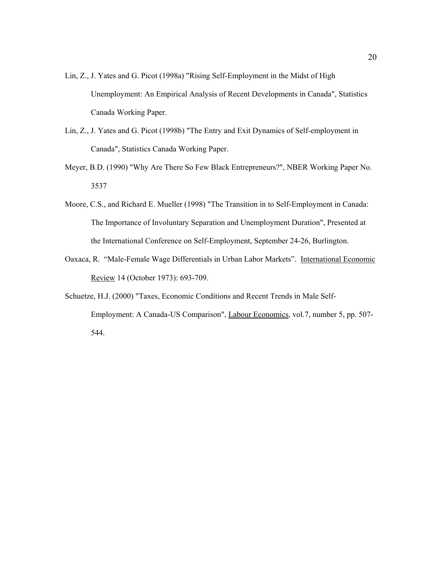- Lin, Z., J. Yates and G. Picot (1998a) "Rising Self-Employment in the Midst of High Unemployment: An Empirical Analysis of Recent Developments in Canada", Statistics Canada Working Paper.
- Lin, Z., J. Yates and G. Picot (1998b) "The Entry and Exit Dynamics of Self-employment in Canada", Statistics Canada Working Paper.
- Meyer, B.D. (1990) "Why Are There So Few Black Entrepreneurs?", NBER Working Paper No. 3537
- Moore, C.S., and Richard E. Mueller (1998) "The Transition in to Self-Employment in Canada: The Importance of Involuntary Separation and Unemployment Duration", Presented at the International Conference on Self-Employment, September 24-26, Burlington.
- Oaxaca, R. "Male-Female Wage Differentials in Urban Labor Markets". International Economic Review 14 (October 1973): 693-709.
- Schuetze, H.J. (2000) "Taxes, Economic Conditions and Recent Trends in Male Self-Employment: A Canada-US Comparison", Labour Economics, vol.7, number 5, pp. 507- 544.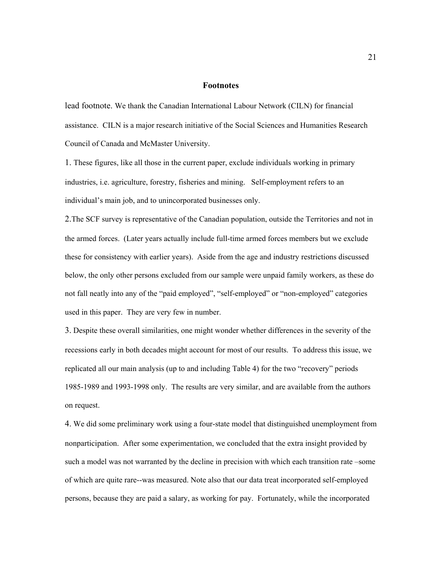#### **Footnotes**

lead footnote. We thank the Canadian International Labour Network (CILN) for financial assistance. CILN is a major research initiative of the Social Sciences and Humanities Research Council of Canada and McMaster University.

1. These figures, like all those in the current paper, exclude individuals working in primary industries, i.e. agriculture, forestry, fisheries and mining. Self-employment refers to an individual's main job, and to unincorporated businesses only.

2.The SCF survey is representative of the Canadian population, outside the Territories and not in the armed forces. (Later years actually include full-time armed forces members but we exclude these for consistency with earlier years). Aside from the age and industry restrictions discussed below, the only other persons excluded from our sample were unpaid family workers, as these do not fall neatly into any of the "paid employed", "self-employed" or "non-employed" categories used in this paper. They are very few in number.

3. Despite these overall similarities, one might wonder whether differences in the severity of the recessions early in both decades might account for most of our results. To address this issue, we replicated all our main analysis (up to and including Table 4) for the two "recovery" periods 1985-1989 and 1993-1998 only. The results are very similar, and are available from the authors on request.

4. We did some preliminary work using a four-state model that distinguished unemployment from nonparticipation. After some experimentation, we concluded that the extra insight provided by such a model was not warranted by the decline in precision with which each transition rate –some of which are quite rare--was measured. Note also that our data treat incorporated self-employed persons, because they are paid a salary, as working for pay. Fortunately, while the incorporated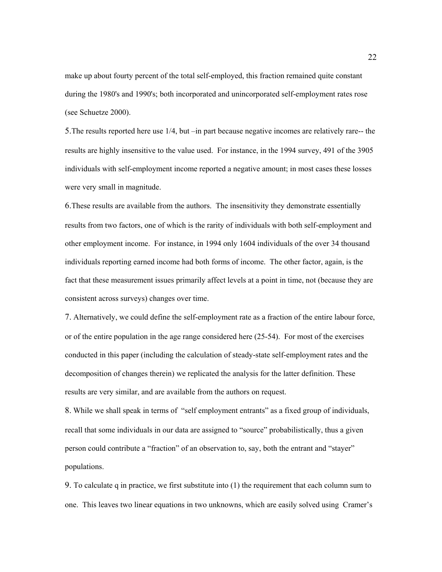make up about fourty percent of the total self-employed, this fraction remained quite constant during the 1980's and 1990's; both incorporated and unincorporated self-employment rates rose (see Schuetze 2000).

5.The results reported here use 1/4, but –in part because negative incomes are relatively rare-- the results are highly insensitive to the value used. For instance, in the 1994 survey, 491 of the 3905 individuals with self-employment income reported a negative amount; in most cases these losses were very small in magnitude.

6.These results are available from the authors. The insensitivity they demonstrate essentially results from two factors, one of which is the rarity of individuals with both self-employment and other employment income. For instance, in 1994 only 1604 individuals of the over 34 thousand individuals reporting earned income had both forms of income. The other factor, again, is the fact that these measurement issues primarily affect levels at a point in time, not (because they are consistent across surveys) changes over time.

7. Alternatively, we could define the self-employment rate as a fraction of the entire labour force, or of the entire population in the age range considered here (25-54). For most of the exercises conducted in this paper (including the calculation of steady-state self-employment rates and the decomposition of changes therein) we replicated the analysis for the latter definition. These results are very similar, and are available from the authors on request.

8. While we shall speak in terms of "self employment entrants" as a fixed group of individuals, recall that some individuals in our data are assigned to "source" probabilistically, thus a given person could contribute a "fraction" of an observation to, say, both the entrant and "stayer" populations.

9. To calculate q in practice, we first substitute into (1) the requirement that each column sum to one. This leaves two linear equations in two unknowns, which are easily solved using Cramer's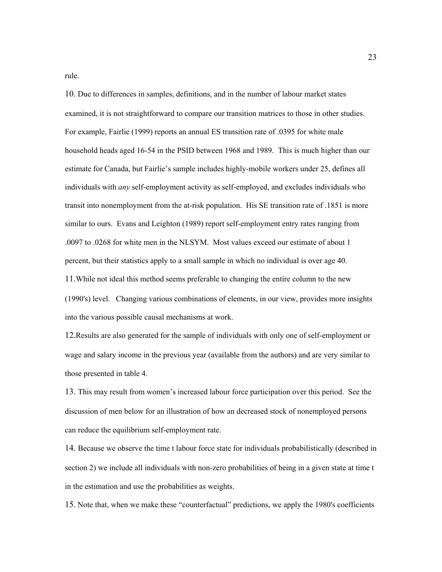rule.

10. Due to differences in samples, definitions, and in the number of labour market states examined, it is not straightforward to compare our transition matrices to those in other studies. For example, Fairlie (1999) reports an annual ES transition rate of .0395 for white male household heads aged 16-54 in the PSID between 1968 and 1989. This is much higher than our estimate for Canada, but Fairlie's sample includes highly-mobile workers under 25, defines all individuals with *any* self-employment activity as self-employed, and excludes individuals who transit into nonemployment from the at-risk population. His SE transition rate of .1851 is more similar to ours. Evans and Leighton (1989) report self-employment entry rates ranging from .0097 to .0268 for white men in the NLSYM. Most values exceed our estimate of about 1 percent, but their statistics apply to a small sample in which no individual is over age 40. 11.While not ideal this method seems preferable to changing the entire column to the new (1990's) level. Changing various combinations of elements, in our view, provides more insights into the various possible causal mechanisms at work.

12.Results are also generated for the sample of individuals with only one of self-employment or wage and salary income in the previous year (available from the authors) and are very similar to those presented in table 4.

13. This may result from women's increased labour force participation over this period. See the discussion of men below for an illustration of how an decreased stock of nonemployed persons can reduce the equilibrium self-employment rate.

14. Because we observe the time t labour force state for individuals probabilistically (described in section 2) we include all individuals with non-zero probabilities of being in a given state at time t in the estimation and use the probabilities as weights.

15. Note that, when we make these "counterfactual" predictions, we apply the 1980's coefficients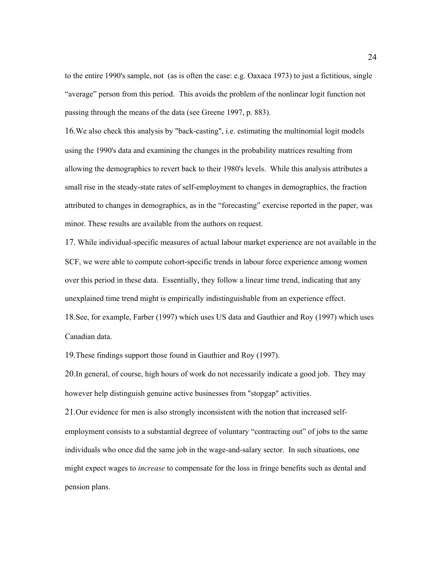to the entire 1990's sample, not (as is often the case: e.g. Oaxaca 1973) to just a fictitious, single "average" person from this period. This avoids the problem of the nonlinear logit function not passing through the means of the data (see Greene 1997, p. 883).

16.We also check this analysis by "back-casting", i.e. estimating the multinomial logit models using the 1990's data and examining the changes in the probability matrices resulting from allowing the demographics to revert back to their 1980's levels. While this analysis attributes a small rise in the steady-state rates of self-employment to changes in demographics, the fraction attributed to changes in demographics, as in the "forecasting" exercise reported in the paper, was minor. These results are available from the authors on request.

17. While individual-specific measures of actual labour market experience are not available in the SCF, we were able to compute cohort-specific trends in labour force experience among women over this period in these data. Essentially, they follow a linear time trend, indicating that any unexplained time trend might is empirically indistinguishable from an experience effect. 18.See, for example, Farber (1997) which uses US data and Gauthier and Roy (1997) which uses Canadian data.

19.These findings support those found in Gauthier and Roy (1997).

20.In general, of course, high hours of work do not necessarily indicate a good job. They may however help distinguish genuine active businesses from "stopgap" activities.

21.Our evidence for men is also strongly inconsistent with the notion that increased selfemployment consists to a substantial degreee of voluntary "contracting out" of jobs to the same individuals who once did the same job in the wage-and-salary sector. In such situations, one might expect wages to *increase* to compensate for the loss in fringe benefits such as dental and pension plans.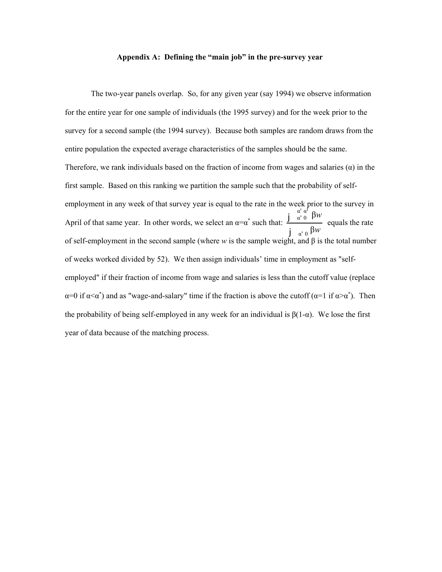#### **Appendix A: Defining the "main job" in the pre-survey year**

The two-year panels overlap. So, for any given year (say 1994) we observe information for the entire year for one sample of individuals (the 1995 survey) and for the week prior to the survey for a second sample (the 1994 survey). Because both samples are random draws from the entire population the expected average characteristics of the samples should be the same. Therefore, we rank individuals based on the fraction of income from wages and salaries  $(\alpha)$  in the first sample. Based on this ranking we partition the sample such that the probability of selfemployment in any week of that survey year is equal to the rate in the week prior to the survey in April of that same year. In other words, we select an  $\alpha = \alpha^*$  such that:  $\frac{\int_{-\alpha}^{\alpha} \alpha^c}{\alpha} \frac{\beta w}{\beta}$  equals the rate j<sup>α</sup>'<sup>0</sup> β*w* of self-employment in the second sample (where *w* is the sample weight, and β is the total number of weeks worked divided by 52). We then assign individuals' time in employment as "selfemployed" if their fraction of income from wage and salaries is less than the cutoff value (replace  $\alpha=0$  if  $\alpha<\alpha^*$ ) and as "wage-and-salary" time if the fraction is above the cutoff  $(\alpha=1 \text{ if } \alpha>\alpha^*)$ . Then the probability of being self-employed in any week for an individual is  $\beta(1-\alpha)$ . We lose the first year of data because of the matching process.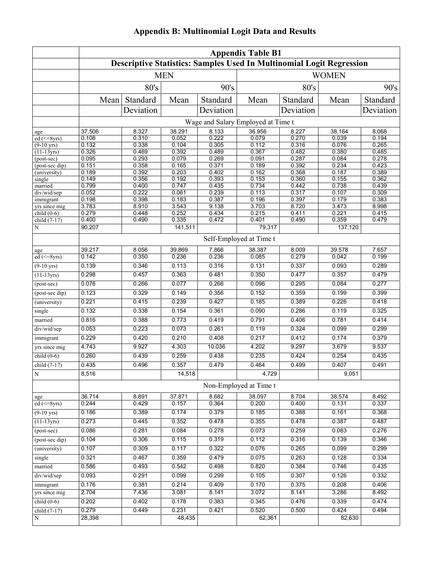|  | <b>Appendix B: Multinomial Logit Data and Results</b> |  |  |
|--|-------------------------------------------------------|--|--|
|  |                                                       |  |  |

|                                       | <b>Appendix Table B1</b><br>Descriptive Statistics: Samples Used In Multinomial Logit Regression |                |                  |                |                                    |                |                  |                |  |  |  |
|---------------------------------------|--------------------------------------------------------------------------------------------------|----------------|------------------|----------------|------------------------------------|----------------|------------------|----------------|--|--|--|
|                                       |                                                                                                  |                |                  |                |                                    |                |                  |                |  |  |  |
|                                       |                                                                                                  |                | <b>MEN</b>       |                |                                    |                | <b>WOMEN</b>     |                |  |  |  |
|                                       |                                                                                                  | 80's           |                  | 90's           |                                    | 80's           |                  | 90's           |  |  |  |
|                                       | Mean                                                                                             | Standard       | Mean             | Standard       | Mean                               | Standard       | Mean             | Standard       |  |  |  |
|                                       |                                                                                                  | Deviation      |                  | Deviation      |                                    | Deviation      |                  | Deviation      |  |  |  |
|                                       |                                                                                                  |                |                  |                | Wage and Salary Employed at Time t |                |                  |                |  |  |  |
| age                                   | 37.506                                                                                           | 8.327          | 38.291           | 8.133          | 36.956                             | 8.227          | 38.164           | 8.068          |  |  |  |
| $ed \left( \leq 8 \text{yrs} \right)$ | 0.108                                                                                            | 0.310          | 0.052            | 0.222          | 0.079                              | 0.270          | 0.039            | 0.194          |  |  |  |
| $(9-10 \text{ yrs})$                  | 0.132                                                                                            | 0.338          | 0.104            | 0.305          | 0.112                              | 0.316          | 0.076            | 0.265          |  |  |  |
| $(11-13yrs)$                          | 0.326                                                                                            | 0.469          | 0.392            | 0.489          | 0.367                              | 0.482          | 0.380            | 0.485          |  |  |  |
| (post-sec)                            | 0.095                                                                                            | 0.293          | 0.079            | 0.269          | 0.091                              | 0.287          | 0.084            | 0.278          |  |  |  |
| (post-sec dip)                        | 0.151                                                                                            | 0.358          | 0.165            | 0.371          | 0.189                              | 0.392          | 0.234            | 0.423          |  |  |  |
| (university)                          | 0.189                                                                                            | 0.392          | 0.203            | 0.402          | 0.162                              | 0.368          | 0.187            | 0.389          |  |  |  |
| single                                | 0.149                                                                                            | 0.356          | 0.192            | 0.393          | 0.153                              | 0.360          | 0.155            | 0.362          |  |  |  |
| married                               | 0.799                                                                                            | 0.400          | 0.747            | 0.435          | 0.734                              | 0.442          | 0.738            | 0.439          |  |  |  |
| div/wid/sep                           | 0.052                                                                                            | 0.222          | 0.061            | 0.239          | 0.113                              | 0.317          | 0.107            | 0.309          |  |  |  |
| immigrant                             | 0.198                                                                                            | 0.398          | 0.183            | 0.387          | 0.196                              | 0.397          | 0.179            | 0.383          |  |  |  |
| yrs since mig                         | 3.783<br>0.279                                                                                   | 8.910          | 3.543<br>0.252   | 9.138          | 3.703<br>0.215                     | 8.720          | 3.473            | 8.998          |  |  |  |
| child $(0-6)$                         |                                                                                                  | 0.448          |                  | 0.434          |                                    | 0.411          | 0.221            | 0.415          |  |  |  |
| child (7-17)<br>N                     | 0.400<br>90,207                                                                                  | 0.490          | 0.335<br>141,511 | 0.472          | 0.401<br>79,317                    | 0.490          | 0.359<br>137,120 | 0.479          |  |  |  |
|                                       |                                                                                                  |                |                  |                | Self-Employed at Time t            |                |                  |                |  |  |  |
| age                                   | 39.217                                                                                           | 8.056          | 39.869           | 7.866          | 38.387                             | 8.009          | 39.578           | 7.657          |  |  |  |
| $ed \overline{(\leq=8\text{yrs})}$    | 0.142                                                                                            | 0.350          | 0.236            | 0.236          | 0.085                              | 0.279          | 0.042            | 0.199          |  |  |  |
| $(9-10 \text{ yrs})$                  | 0.139                                                                                            | 0.346          | 0.113            | 0.316          | 0.131                              | 0.337          | 0.093            | 0.289          |  |  |  |
| $(11-13yrs)$                          | 0.298                                                                                            | 0.457          | 0.363            | 0.481          | 0.350                              | 0.477          | 0.357            | 0.479          |  |  |  |
| (post-sec)                            | 0.076                                                                                            | 0.266          | 0.077            | 0.266          | 0.096                              | 0.295          | 0.084            | 0.277          |  |  |  |
| (post-sec dip)                        | 0.123                                                                                            | 0.329          | 0.149            | 0.356          | 0.152                              | 0.359          | 0.199            | 0.399          |  |  |  |
| (university)                          | 0.221                                                                                            | 0.415          | 0.239            | 0.427          | 0.185                              | 0.389          | 0.226            | 0.418          |  |  |  |
| single                                | 0.132                                                                                            | 0.338          | 0.154            | 0.361          | 0.090                              | 0.286          | 0.119            | 0.325          |  |  |  |
| married                               | 0.816                                                                                            | 0.388          | 0.773            | 0.419          | 0.791                              | 0.406          | 0.781            | 0.414          |  |  |  |
| div/wid/sep                           | 0.053                                                                                            | 0.223          | 0.073            | 0.261          | 0.119                              | 0.324          | 0.099            | 0.299          |  |  |  |
| immigrant                             | 0.229                                                                                            | 0.420          | 0.210            | 0.408          | 0.217                              | 0.412          | 0.174            | 0.379          |  |  |  |
| yrs since mig                         | 4.743                                                                                            | 9.927          | 4.303            | 10.036         | 4.202                              | 9.297          | 3.679            | 9.537          |  |  |  |
| child $(0-6)$                         | 0.260                                                                                            | 0.439          | 0.259            | 0.438          | 0.235                              | 0.424          | 0.254            | 0.435          |  |  |  |
| child $(7-17)$                        | 0.435                                                                                            | 0.496          | 0.357            | 0.479          | 0.464                              | 0.499          | 0.407            | 0.491          |  |  |  |
| ${\bf N}$                             | 8,516                                                                                            |                | 14,518           |                | 4,729                              |                | 9,051            |                |  |  |  |
|                                       |                                                                                                  |                |                  |                | Non-Employed at Time t             |                |                  |                |  |  |  |
| age                                   | 36.714                                                                                           | 8.891          | 37.871           | 8.682          | 38.097                             | 8.704          | 38.574           | 8.492          |  |  |  |
| $ed \left( \leq 8\text{yrs} \right)$  | 0.244                                                                                            | 0.429          | 0.157            | 0.364          | 0.200                              | 0.400          | 0.131            | 0.337          |  |  |  |
| $(9-10 \text{ yrs})$<br>$(11-13yrs)$  | 0.186<br>0.273                                                                                   | 0.389<br>0.445 | 0.174<br>0.352   | 0.379<br>0.478 | 0.185<br>0.355                     | 0.388<br>0.478 | 0.161<br>0.387   | 0.368<br>0.487 |  |  |  |
| (post-sec)                            | 0.086                                                                                            | 0.281          | 0.084            | 0.278          | 0.073                              | 0.259          | 0.083            | 0.276          |  |  |  |
| (post-sec dip)                        | 0.104                                                                                            | 0.306          | 0.115            | 0.319          | 0.112                              | 0.316          | 0.139            | 0.346          |  |  |  |
|                                       |                                                                                                  |                |                  |                |                                    |                |                  |                |  |  |  |
| (university)                          | 0.107<br>0.321                                                                                   | 0.309<br>0.467 | 0.117            | 0.322<br>0.479 | 0.076<br>0.075                     | 0.265<br>0.263 | 0.099<br>0.128   | 0.299<br>0.334 |  |  |  |
| single                                | 0.586                                                                                            | 0.493          | 0.359<br>0.542   | 0.498          | 0.820                              | 0.384          | 0.746            | 0.435          |  |  |  |
| married                               | 0.093                                                                                            | 0.291          | 0.099            | 0.299          | 0.105                              | 0.307          | 0.126            | 0.332          |  |  |  |
| div/wid/sep<br>immigrant              | 0.176                                                                                            | 0.381          | 0.214            | 0.409          | 0.170                              | 0.375          | 0.208            | 0.406          |  |  |  |
| yrs since mig                         | 2.704                                                                                            | 7.436          | 3.081            | 8.141          | 3.072                              | 8.141          | 3.286            | 8.492          |  |  |  |
| child $(0-6)$                         | 0.202                                                                                            | 0.402          | 0.178            | 0.383          | 0.345                              | 0.476          | 0.339            | 0.474          |  |  |  |
| child (7-17)                          | 0.279                                                                                            | 0.449          | 0.231            | 0.421          | 0.520                              | 0.500          | 0.424            | 0.494          |  |  |  |
| N                                     | 28,398                                                                                           |                | 48,435           |                | 62,361                             |                | 82,630           |                |  |  |  |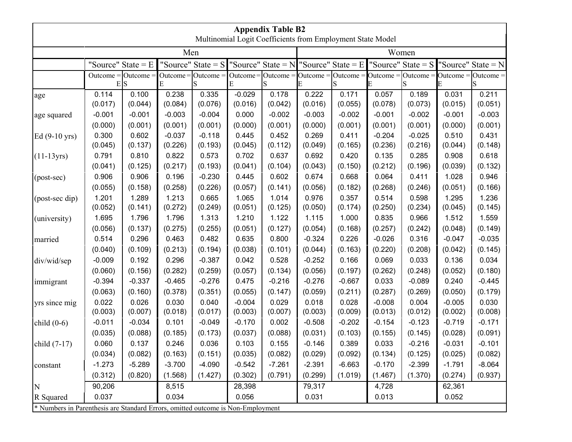|                                                                                 | <b>Appendix Table B2</b><br>Multinomial Logit Coefficients from Employment State Model |                  |                  |                      |                     |                  |                  |                                           |                  |                                                                                                                                                                          |                  |                      |
|---------------------------------------------------------------------------------|----------------------------------------------------------------------------------------|------------------|------------------|----------------------|---------------------|------------------|------------------|-------------------------------------------|------------------|--------------------------------------------------------------------------------------------------------------------------------------------------------------------------|------------------|----------------------|
|                                                                                 |                                                                                        |                  |                  |                      |                     |                  |                  |                                           |                  |                                                                                                                                                                          |                  |                      |
|                                                                                 |                                                                                        |                  | Men              |                      |                     |                  |                  |                                           |                  | Women                                                                                                                                                                    |                  |                      |
|                                                                                 | "Source" State $= E$                                                                   |                  |                  | "Source" State = $S$ |                     |                  |                  | "Source" State = $N$ "Source" State = $E$ |                  | "Source" State $=$ S                                                                                                                                                     |                  | "Source" State = $N$ |
|                                                                                 | Outcome = $Outer$                                                                      |                  |                  | Outcome = $Outer$    |                     |                  |                  |                                           |                  | Outcome = $\overline{O}$ utcome = $\overline{O}$ utcome = $\overline{O}$ utcome = $\overline{O}$ utcome = $\overline{O}$ utcome = $\overline{O}$ utcome = $\overline{O}$ |                  |                      |
|                                                                                 |                                                                                        | E S              | Е                | S                    | E                   |                  |                  | S                                         |                  | S                                                                                                                                                                        |                  | S                    |
| age                                                                             | 0.114<br>(0.017)                                                                       | 0.100<br>(0.044) | 0.238<br>(0.084) | 0.335<br>(0.076)     | $-0.029$<br>(0.016) | 0.178<br>(0.042) | 0.222<br>(0.016) | 0.171<br>(0.055)                          | 0.057<br>(0.078) | 0.189<br>(0.073)                                                                                                                                                         | 0.031<br>(0.015) | 0.211<br>(0.051)     |
|                                                                                 | $-0.001$                                                                               | $-0.001$         | $-0.003$         | $-0.004$             | 0.000               | $-0.002$         | $-0.003$         | $-0.002$                                  | $-0.001$         | $-0.002$                                                                                                                                                                 | $-0.001$         | $-0.003$             |
| age squared                                                                     | (0.000)                                                                                | (0.001)          | (0.001)          | (0.001)              | (0.000)             | (0.001)          | (0.000)          | (0.001)                                   | (0.001)          | (0.001)                                                                                                                                                                  | (0.000)          | (0.001)              |
| Ed $(9-10 \text{ yrs})$                                                         | 0.300                                                                                  | 0.602            | $-0.037$         | $-0.118$             | 0.445               | 0.452            | 0.269            | 0.411                                     | $-0.204$         | $-0.025$                                                                                                                                                                 | 0.510            | 0.431                |
|                                                                                 | (0.045)                                                                                | (0.137)          | (0.226)          | (0.193)              | (0.045)             | (0.112)          | (0.049)          | (0.165)                                   | (0.236)          | (0.216)                                                                                                                                                                  | (0.044)          | (0.148)              |
| $(11-13yrs)$                                                                    | 0.791                                                                                  | 0.810            | 0.822            | 0.573                | 0.702               | 0.637            | 0.692            | 0.420                                     | 0.135            | 0.285                                                                                                                                                                    | 0.908            | 0.618                |
|                                                                                 | (0.041)                                                                                | (0.125)          | (0.217)          | (0.193)              | (0.041)             | (0.104)          | (0.043)          | (0.150)                                   | (0.212)          | (0.196)                                                                                                                                                                  | (0.039)          | (0.132)              |
| (post-sec)                                                                      | 0.906                                                                                  | 0.906            | 0.196            | $-0.230$             | 0.445               | 0.602            | 0.674            | 0.668                                     | 0.064            | 0.411                                                                                                                                                                    | 1.028            | 0.946                |
|                                                                                 | (0.055)                                                                                | (0.158)          | (0.258)          | (0.226)              | (0.057)             | (0.141)          | (0.056)          | (0.182)                                   | (0.268)          | (0.246)                                                                                                                                                                  | (0.051)          | (0.166)              |
| (post-sec dip)                                                                  | 1.201                                                                                  | 1.289            | 1.213            | 0.665                | 1.065               | 1.014            | 0.976            | 0.357                                     | 0.514            | 0.598                                                                                                                                                                    | 1.295            | 1.236                |
|                                                                                 | (0.052)                                                                                | (0.141)          | (0.272)          | (0.249)              | (0.051)             | (0.125)          | (0.050)          | (0.174)                                   | (0.250)          | (0.234)                                                                                                                                                                  | (0.045)          | (0.145)              |
| (university)                                                                    | 1.695                                                                                  | 1.796            | 1.796            | 1.313                | 1.210               | 1.122            | 1.115            | 1.000                                     | 0.835            | 0.966                                                                                                                                                                    | 1.512            | 1.559                |
|                                                                                 | (0.056)                                                                                | (0.137)          | (0.275)          | (0.255)              | (0.051)             | (0.127)          | (0.054)          | (0.168)                                   | (0.257)          | (0.242)                                                                                                                                                                  | (0.048)          | (0.149)              |
| married                                                                         | 0.514                                                                                  | 0.296            | 0.463            | 0.482                | 0.635               | 0.800            | $-0.324$         | 0.226                                     | $-0.026$         | 0.316                                                                                                                                                                    | $-0.047$         | $-0.035$             |
|                                                                                 | (0.040)                                                                                | (0.109)          | (0.213)          | (0.194)              | (0.038)             | (0.101)          | (0.044)          | (0.163)                                   | (0.220)          | (0.208)                                                                                                                                                                  | (0.042)          | (0.145)              |
| div/wid/sep                                                                     | $-0.009$                                                                               | 0.192            | 0.296            | $-0.387$             | 0.042               | 0.528            | $-0.252$         | 0.166                                     | 0.069            | 0.033                                                                                                                                                                    | 0.136            | 0.034                |
|                                                                                 | (0.060)                                                                                | (0.156)          | (0.282)          | (0.259)              | (0.057)             | (0.134)          | (0.056)          | (0.197)                                   | (0.262)          | (0.248)                                                                                                                                                                  | (0.052)          | (0.180)              |
| immigrant                                                                       | $-0.394$                                                                               | $-0.337$         | $-0.465$         | $-0.276$             | 0.475               | $-0.216$         | $-0.276$         | $-0.667$                                  | 0.033            | $-0.089$                                                                                                                                                                 | 0.240            | $-0.445$             |
|                                                                                 | (0.063)                                                                                | (0.160)          | (0.378)          | (0.351)              | (0.055)             | (0.147)          | (0.059)          | (0.211)                                   | (0.287)          | (0.269)                                                                                                                                                                  | (0.050)          | (0.179)              |
| yrs since mig                                                                   | 0.022                                                                                  | 0.026            | 0.030            | 0.040                | $-0.004$            | 0.029            | 0.018            | 0.028                                     | $-0.008$         | 0.004                                                                                                                                                                    | $-0.005$         | 0.030                |
|                                                                                 | (0.003)                                                                                | (0.007)          | (0.018)          | (0.017)              | (0.003)             | (0.007)          | (0.003)          | (0.009)                                   | (0.013)          | (0.012)                                                                                                                                                                  | (0.002)          | (0.008)              |
| child $(0-6)$                                                                   | $-0.011$                                                                               | $-0.034$         | 0.101            | $-0.049$             | $-0.170$            | 0.002            | $-0.508$         | $-0.202$                                  | $-0.154$         | $-0.123$                                                                                                                                                                 | $-0.719$         | $-0.171$             |
|                                                                                 | (0.035)                                                                                | (0.088)          | (0.185)          | (0.173)              | (0.037)             | (0.088)          | (0.031)          | (0.103)                                   | (0.155)          | (0.145)                                                                                                                                                                  | (0.028)          | (0.091)              |
| child $(7-17)$                                                                  | 0.060                                                                                  | 0.137            | 0.246            | 0.036                | 0.103               | 0.155            | $-0.146$         | 0.389                                     | 0.033            | $-0.216$                                                                                                                                                                 | $-0.031$         | $-0.101$             |
|                                                                                 | (0.034)                                                                                | (0.082)          | (0.163)          | (0.151)              | (0.035)             | (0.082)          | (0.029)          | (0.092)                                   | (0.134)          | (0.125)                                                                                                                                                                  | (0.025)          | (0.082)              |
| constant                                                                        | $-1.273$                                                                               | $-5.289$         | $-3.700$         | $-4.090$             | $-0.542$            | $-7.261$         | $-2.391$         | $-6.663$                                  | $-0.170$         | $-2.399$                                                                                                                                                                 | $-1.791$         | $-8.064$             |
|                                                                                 | (0.312)                                                                                | (0.820)          | (1.568)          | (1.427)              | (0.302)             | (0.791)          | (0.299)          | (1.019)                                   | (1.467)          | (1.370)                                                                                                                                                                  | (0.274)          | (0.937)              |
| N                                                                               | 90,206                                                                                 |                  | 8,515            |                      | 28,398              |                  | 79,317           |                                           | 4,728            |                                                                                                                                                                          | 62,361           |                      |
| R Squared                                                                       | 0.037                                                                                  |                  | 0.034            |                      | 0.056               |                  | 0.031            |                                           | 0.013            |                                                                                                                                                                          | 0.052            |                      |
| * Numbers in Parenthesis are Standard Errors, omitted outcome is Non-Employment |                                                                                        |                  |                  |                      |                     |                  |                  |                                           |                  |                                                                                                                                                                          |                  |                      |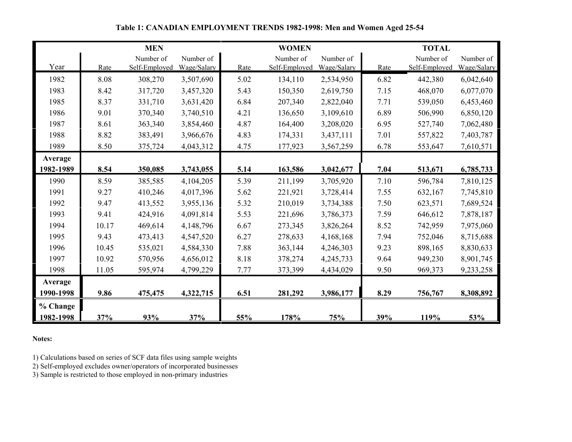|           |       | <b>MEN</b>    |             |      | <b>WOMEN</b>  |             |      | <b>TOTAL</b>  |             |
|-----------|-------|---------------|-------------|------|---------------|-------------|------|---------------|-------------|
|           |       | Number of     | Number of   |      | Number of     | Number of   |      | Number of     | Number of   |
| Year      | Rate  | Self-Employed | Wage/Salary | Rate | Self-Employed | Wage/Salary | Rate | Self-Employed | Wage/Salary |
| 1982      | 8.08  | 308,270       | 3,507,690   | 5.02 | 134,110       | 2,534,950   | 6.82 | 442,380       | 6,042,640   |
| 1983      | 8.42  | 317,720       | 3,457,320   | 5.43 | 150,350       | 2,619,750   | 7.15 | 468,070       | 6,077,070   |
| 1985      | 8.37  | 331,710       | 3,631,420   | 6.84 | 207,340       | 2,822,040   | 7.71 | 539,050       | 6,453,460   |
| 1986      | 9.01  | 370,340       | 3,740,510   | 4.21 | 136,650       | 3,109,610   | 6.89 | 506,990       | 6,850,120   |
| 1987      | 8.61  | 363,340       | 3,854,460   | 4.87 | 164,400       | 3,208,020   | 6.95 | 527,740       | 7,062,480   |
| 1988      | 8.82  | 383,491       | 3,966,676   | 4.83 | 174,331       | 3,437,111   | 7.01 | 557,822       | 7,403,787   |
| 1989      | 8.50  | 375,724       | 4,043,312   | 4.75 | 177,923       | 3,567,259   | 6.78 | 553,647       | 7,610,571   |
| Average   |       |               |             |      |               |             |      |               |             |
| 1982-1989 | 8.54  | 350,085       | 3,743,055   | 5.14 | 163,586       | 3,042,677   | 7.04 | 513,671       | 6,785,733   |
| 1990      | 8.59  | 385,585       | 4,104,205   | 5.39 | 211,199       | 3,705,920   | 7.10 | 596,784       | 7,810,125   |
| 1991      | 9.27  | 410,246       | 4,017,396   | 5.62 | 221,921       | 3,728,414   | 7.55 | 632,167       | 7,745,810   |
| 1992      | 9.47  | 413,552       | 3,955,136   | 5.32 | 210,019       | 3,734,388   | 7.50 | 623,571       | 7,689,524   |
| 1993      | 9.41  | 424,916       | 4,091,814   | 5.53 | 221,696       | 3,786,373   | 7.59 | 646,612       | 7,878,187   |
| 1994      | 10.17 | 469,614       | 4,148,796   | 6.67 | 273,345       | 3,826,264   | 8.52 | 742,959       | 7,975,060   |
| 1995      | 9.43  | 473,413       | 4,547,520   | 6.27 | 278,633       | 4,168,168   | 7.94 | 752,046       | 8,715,688   |
| 1996      | 10.45 | 535,021       | 4,584,330   | 7.88 | 363,144       | 4,246,303   | 9.23 | 898,165       | 8,830,633   |
| 1997      | 10.92 | 570,956       | 4,656,012   | 8.18 | 378,274       | 4,245,733   | 9.64 | 949,230       | 8,901,745   |
| 1998      | 11.05 | 595,974       | 4,799,229   | 7.77 | 373,399       | 4,434,029   | 9.50 | 969,373       | 9,233,258   |
| Average   |       |               |             |      |               |             |      |               |             |
| 1990-1998 | 9.86  | 475,475       | 4,322,715   | 6.51 | 281,292       | 3,986,177   | 8.29 | 756,767       | 8,308,892   |
| % Change  |       |               |             |      |               |             |      |               |             |
| 1982-1998 | 37%   | 93%           | 37%         | 55%  | 178%          | 75%         | 39%  | 119%          | 53%         |

## **Table 1: CANADIAN EMPLOYMENT TRENDS 1982-1998: Men and Women Aged 25-54**

**Notes:**

1) Calculations based on series of SCF data files using sample weights

2) Self-employed excludes owner/operators of incorporated businesses

3) Sample is restricted to those employed in non-primary industries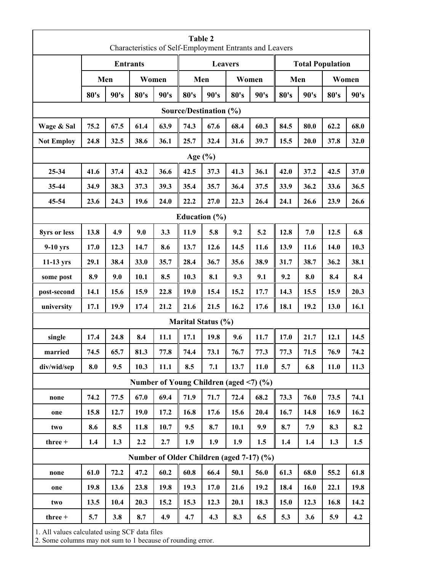|                                                                                                              |      |      |                 |                                        | Table 2     |                        |      | Characteristics of Self-Employment Entrants and Leavers |      |      |                         |       |
|--------------------------------------------------------------------------------------------------------------|------|------|-----------------|----------------------------------------|-------------|------------------------|------|---------------------------------------------------------|------|------|-------------------------|-------|
|                                                                                                              |      |      | <b>Entrants</b> |                                        |             | <b>Leavers</b>         |      |                                                         |      |      | <b>Total Population</b> |       |
|                                                                                                              | Men  |      | Women           |                                        |             | Men                    |      | Women                                                   |      | Men  |                         | Women |
|                                                                                                              | 80's | 90's | 80's            | 90's                                   | 80's        | 90's                   | 80's | 90's                                                    | 80's | 90's | 80's                    | 90's  |
|                                                                                                              |      |      |                 |                                        |             | Source/Destination (%) |      |                                                         |      |      |                         |       |
| Wage & Sal                                                                                                   | 75.2 | 67.5 | 61.4            | 63.9                                   | 74.3        | 67.6                   | 68.4 | 60.3                                                    | 84.5 | 80.0 | 62.2                    | 68.0  |
| <b>Not Employ</b>                                                                                            | 24.8 | 32.5 | 38.6            | 36.1                                   | 25.7        | 32.4                   | 31.6 | 39.7                                                    | 15.5 | 20.0 | 37.8                    | 32.0  |
|                                                                                                              |      |      |                 |                                        | Age $(\% )$ |                        |      |                                                         |      |      |                         |       |
| 25-34                                                                                                        | 41.6 | 37.4 | 43.2            | 36.6                                   | 42.5        | 37.3                   | 41.3 | 36.1                                                    | 42.0 | 37.2 | 42.5                    | 37.0  |
| 35-44                                                                                                        | 34.9 | 38.3 | 37.3            | 39.3                                   | 35.4        | 35.7                   | 36.4 | 37.5                                                    | 33.9 | 36.2 | 33.6                    | 36.5  |
| 45-54                                                                                                        | 23.6 | 24.3 | 19.6            | 24.0                                   | 22.2        | 27.0                   | 22.3 | 26.4                                                    | 24.1 | 26.6 | 23.9                    | 26.6  |
|                                                                                                              |      |      |                 |                                        |             | Education $(\% )$      |      |                                                         |      |      |                         |       |
| 8yrs or less                                                                                                 | 13.8 | 4.9  | 9.0             | 3.3                                    | 11.9        | 5.8                    | 9.2  | 5.2                                                     | 12.8 | 7.0  | 12.5                    | 6.8   |
| $9-10$ yrs                                                                                                   | 17.0 | 12.3 | 14.7            | 8.6                                    | 13.7        | 12.6                   | 14.5 | 11.6                                                    | 13.9 | 11.6 | 14.0                    | 10.3  |
| $11-13$ yrs                                                                                                  | 29.1 | 38.4 | 33.0            | 35.7                                   | 28.4        | 36.7                   | 35.6 | 38.9                                                    | 31.7 | 38.7 | 36.2                    | 38.1  |
| some post                                                                                                    | 8.9  | 9.0  | 10.1            | 8.5                                    | 10.3        | 8.1                    | 9.3  | 9.1                                                     | 9.2  | 8.0  | 8.4                     | 8.4   |
| post-second                                                                                                  | 14.1 | 15.6 | 15.9            | 22.8                                   | 19.0        | 15.4                   | 15.2 | 17.7                                                    | 14.3 | 15.5 | 15.9                    | 20.3  |
| university                                                                                                   | 17.1 | 19.9 | 17.4            | 21.2                                   | 21.6        | 21.5                   | 16.2 | 17.6                                                    | 18.1 | 19.2 | 13.0                    | 16.1  |
|                                                                                                              |      |      |                 |                                        |             | Marital Status (%)     |      |                                                         |      |      |                         |       |
| single                                                                                                       | 17.4 | 24.8 | 8.4             | 11.1                                   | 17.1        | 19.8                   | 9.6  | 11.7                                                    | 17.0 | 21.7 | 12.1                    | 14.5  |
| married                                                                                                      | 74.5 | 65.7 | 81.3            | 77.8                                   | 74.4        | 73.1                   | 76.7 | 77.3                                                    | 77.3 | 71.5 | 76.9                    | 74.2  |
| div/wid/sep                                                                                                  | 8.0  | 9.5  | 10.3            | 11.1                                   | 8.5         | 7.1                    | 13.7 | 11.0                                                    | 5.7  | 6.8  | 11.0                    | 11.3  |
|                                                                                                              |      |      |                 | Number of Young Children (aged <7) (%) |             |                        |      |                                                         |      |      |                         |       |
| none                                                                                                         | 74.2 | 77.5 | 67.0            | 69.4                                   | 71.9        | 71.7                   | 72.4 | 68.2                                                    | 73.3 | 76.0 | 73.5                    | 74.1  |
| one                                                                                                          | 15.8 | 12.7 | 19.0            | 17.2                                   | 16.8        | 17.6                   | 15.6 | 20.4                                                    | 16.7 | 14.8 | 16.9                    | 16.2  |
| two                                                                                                          | 8.6  | 8.5  | 11.8            | 10.7                                   | 9.5         | 8.7                    | 10.1 | 9.9                                                     | 8.7  | 7.9  | 8.3                     | 8.2   |
| three +                                                                                                      | 1.4  | 1.3  | 2.2             | 2.7                                    | 1.9         | 1.9                    | 1.9  | 1.5                                                     | 1.4  | 1.4  | 1.3                     | 1.5   |
| Number of Older Children (aged 7-17) (%)                                                                     |      |      |                 |                                        |             |                        |      |                                                         |      |      |                         |       |
| none                                                                                                         | 61.0 | 72.2 | 47.2            | 60.2                                   | 60.8        | 66.4                   | 50.1 | 56.0                                                    | 61.3 | 68.0 | 55.2                    | 61.8  |
| one                                                                                                          | 19.8 | 13.6 | 23.8            | 19.8                                   | 19.3        | 17.0                   | 21.6 | 19.2                                                    | 18.4 | 16.0 | 22.1                    | 19.8  |
| two                                                                                                          | 13.5 | 10.4 | 20.3            | 15.2                                   | 15.3        | 12.3                   | 20.1 | 18.3                                                    | 15.0 | 12.3 | 16.8                    | 14.2  |
| three +                                                                                                      | 5.7  | 3.8  | 8.7             | 4.9                                    | 4.7         | 4.3                    | 8.3  | 6.5                                                     | 5.3  | 3.6  | 5.9                     | 4.2   |
| 1. All values calculated using SCF data files<br>2. Some columns may not sum to 1 because of rounding error. |      |      |                 |                                        |             |                        |      |                                                         |      |      |                         |       |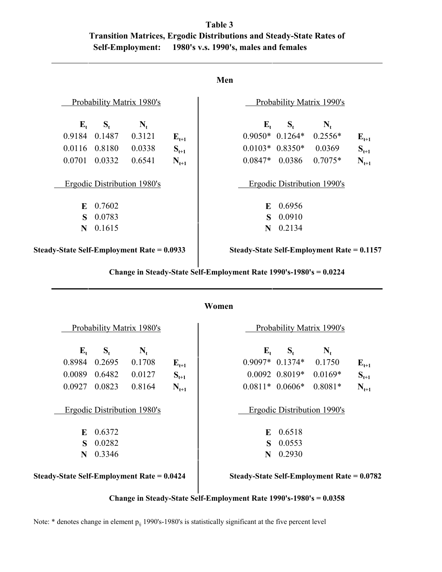|                         | Table 3                               |                                                                             |
|-------------------------|---------------------------------------|-----------------------------------------------------------------------------|
|                         |                                       | <b>Transition Matrices, Ergodic Distributions and Steady-State Rates of</b> |
| <b>Self-Employment:</b> | 1980's v.s. 1990's, males and females |                                                                             |

|         |   |               | Probability Matrix 1980's                  |           |                   |                   | Probability Matrix 1990's                         |           |
|---------|---|---------------|--------------------------------------------|-----------|-------------------|-------------------|---------------------------------------------------|-----------|
| $E_{t}$ |   | $S_t$         | $N_t$                                      |           | ${\bf E}_{\bf t}$ | $S_t$             | $N_{t}$                                           |           |
|         |   | 0.9184 0.1487 | 0.3121                                     | $E_{t+1}$ |                   | $0.9050*$ 0.1264* | $0.2556*$                                         | $E_{t+1}$ |
|         |   | 0.0116 0.8180 | 0.0338                                     | $S_{t+1}$ |                   | $0.0103* 0.8350*$ | 0.0369                                            | $S_{t+1}$ |
| 0.0701  |   | 0.0332        | 0.6541                                     | $N_{t+1}$ | $0.0847*$ 0.0386  |                   | $0.7075*$                                         | $N_{t+1}$ |
|         |   |               | Ergodic Distribution 1980's                |           |                   |                   | Ergodic Distribution 1990's                       |           |
|         | E | 0.7602        |                                            |           | E                 | 0.6956            |                                                   |           |
|         | S | 0.0783        |                                            |           | S.                | 0.0910            |                                                   |           |
|         | N | 0.1615        |                                            |           | N                 | 0.2134            |                                                   |           |
|         |   |               | Steady-State Self-Employment Rate = 0.0933 |           |                   |                   | <b>Steady-State Self-Employment Rate = 0.1157</b> |           |

 **Change in Steady-State Self-Employment Rate 1990's-1980's = 0.0224**

# **Women**

|             |        | Probability Matrix 1980's                  |           |                   |                    | Probability Matrix 1990's                  |           |
|-------------|--------|--------------------------------------------|-----------|-------------------|--------------------|--------------------------------------------|-----------|
| $E_{t}$     | $S_t$  | $\mathbf{N}_{\mathrm{t}}$                  |           | ${\bf E}_{\bf t}$ | $S_t$              | $\mathbf{N}_{t}$                           |           |
| 0.8984      | 0.2695 | 0.1708                                     | $E_{t+1}$ |                   | $0.9097*$ 0.1374*  | 0.1750                                     | $E_{t+1}$ |
| 0.0089      | 0.6482 | 0.0127                                     | $S_{t+1}$ |                   | $0.0092$ $0.8019*$ | $0.0169*$                                  | $S_{t+1}$ |
| 0.0927      | 0.0823 | 0.8164                                     | $N_{t+1}$ |                   | $0.0811* 0.0606*$  | $0.8081*$                                  | $N_{t+1}$ |
|             |        | Ergodic Distribution 1980's                |           |                   |                    | Ergodic Distribution 1990's                |           |
| E           | 0.6372 |                                            |           | E                 | 0.6518             |                                            |           |
| $\mathbf S$ | 0.0282 |                                            |           | $\mathbf{s}$      | 0.0553             |                                            |           |
| N           | 0.3346 |                                            |           | N                 | 0.2930             |                                            |           |
|             |        | Steady-State Self-Employment Rate = 0.0424 |           |                   |                    | Steady-State Self-Employment Rate = 0.0782 |           |

 **Change in Steady-State Self-Employment Rate 1990's-1980's = 0.0358**

Note:  $*$  denotes change in element  $p_{ij}$  1990's-1980's is statistically significant at the five percent level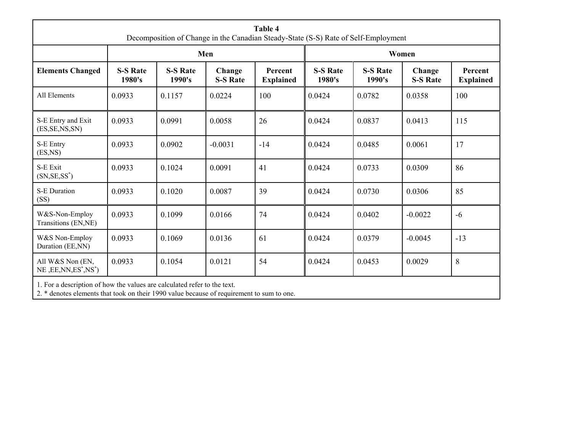|                                                                          | Table 4<br>Decomposition of Change in the Canadian Steady-State (S-S) Rate of Self-Employment |                           |                           |                             |                           |                           |                           |                             |  |  |  |
|--------------------------------------------------------------------------|-----------------------------------------------------------------------------------------------|---------------------------|---------------------------|-----------------------------|---------------------------|---------------------------|---------------------------|-----------------------------|--|--|--|
|                                                                          |                                                                                               |                           | Men                       |                             | Women                     |                           |                           |                             |  |  |  |
| <b>Elements Changed</b>                                                  | <b>S-S Rate</b><br>1980's                                                                     | <b>S-S Rate</b><br>1990's | Change<br><b>S-S Rate</b> | Percent<br><b>Explained</b> | <b>S-S Rate</b><br>1980's | <b>S-S Rate</b><br>1990's | Change<br><b>S-S Rate</b> | Percent<br><b>Explained</b> |  |  |  |
| All Elements                                                             | 0.0933                                                                                        | 0.1157                    | 0.0224                    | 100                         | 0.0424                    | 0.0782                    | 0.0358                    | 100                         |  |  |  |
| S-E Entry and Exit<br>(ES, SE, NS, SN)                                   | 0.0933                                                                                        | 0.0991                    | 0.0058                    | 26                          | 0.0424                    | 0.0837                    | 0.0413                    | 115                         |  |  |  |
| S-E Entry<br>(ES, NS)                                                    | 0.0933                                                                                        | 0.0902                    | $-0.0031$                 | $-14$                       | 0.0424                    | 0.0485                    | 0.0061                    | 17                          |  |  |  |
| S-E Exit<br>$(SN, SE, SS^*)$                                             | 0.0933                                                                                        | 0.1024                    | 0.0091                    | 41                          | 0.0424                    | 0.0733                    | 0.0309                    | 86                          |  |  |  |
| S-E Duration<br>(SS)                                                     | 0.0933                                                                                        | 0.1020                    | 0.0087                    | 39                          | 0.0424                    | 0.0730                    | 0.0306                    | 85                          |  |  |  |
| W&S-Non-Employ<br>Transitions (EN,NE)                                    | 0.0933                                                                                        | 0.1099                    | 0.0166                    | 74                          | 0.0424                    | 0.0402                    | $-0.0022$                 | $-6$                        |  |  |  |
| W&S Non-Employ<br>Duration (EE,NN)                                       | 0.0933                                                                                        | 0.1069                    | 0.0136                    | 61                          | 0.0424                    | 0.0379                    | $-0.0045$                 | $-13$                       |  |  |  |
| All W&S Non (EN,<br>$NE$ , $EE$ , $NN$ , $ES^*$ , $NS^*$ )               | 0.0933                                                                                        | 0.1054                    | 0.0121                    | 54                          | 0.0424                    | 0.0453                    | 0.0029                    | $\,8\,$                     |  |  |  |
| 1. For a description of how the values are calculated refer to the text. |                                                                                               |                           |                           |                             |                           |                           |                           |                             |  |  |  |

2. \* denotes elements that took on their 1990 value because of requirement to sum to one.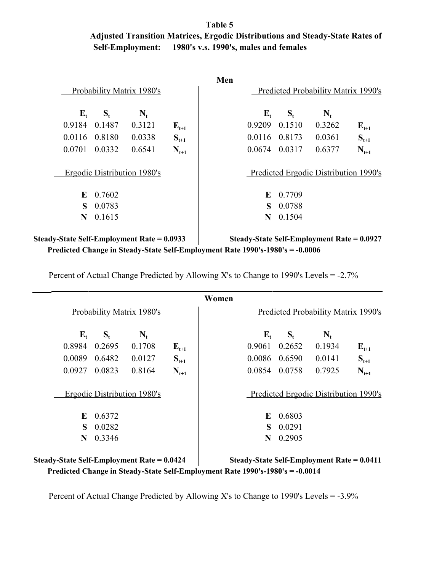|                         | Table 5                               |                                                                               |
|-------------------------|---------------------------------------|-------------------------------------------------------------------------------|
|                         |                                       | Adjusted Transition Matrices, Ergodic Distributions and Steady-State Rates of |
| <b>Self-Employment:</b> | 1980's v.s. 1990's, males and females |                                                                               |

|           | Predicted Probability Matrix 1990's   |         |                  |                 | Probability Matrix 1980's   |        |                  |
|-----------|---------------------------------------|---------|------------------|-----------------|-----------------------------|--------|------------------|
|           | $\mathbf{N}_{t}$                      | $S_{t}$ | $\mathbf{E}_{t}$ |                 | $N_{t}$                     | $S_t$  | $\mathbf{E}_{t}$ |
| $E_{t+1}$ | 0.3262                                | 0.1510  | 0.9209           | ${\bf E_{t+1}}$ | 0.3121                      | 0.1487 | 0.9184           |
| $S_{t+1}$ | 0.0361                                |         | 0.0116 0.8173    | $S_{t+1}$       | 0.0338                      |        | 0.0116 0.8180    |
| $N_{t+1}$ | 0.6377                                | 0.0317  | 0.0674           | $N_{t+1}$       | 0.6541                      | 0.0332 | 0.0701           |
|           | Predicted Ergodic Distribution 1990's |         |                  |                 | Ergodic Distribution 1980's |        |                  |
|           |                                       | 0.7709  | E                |                 |                             | 0.7602 | E                |
|           |                                       | 0.0788  | S                |                 |                             | 0.0783 | S                |
|           |                                       | 0.1504  | N                |                 |                             | 0.1615 | N                |

Steady-State Self-Employment Rate = 0.0933 Steady-State Self-Employment Rate = 0.0927  **Predicted Change in Steady-State Self-Employment Rate 1990's-1980's = -0.0006**

Percent of Actual Change Predicted by Allowing X's to Change to 1990's Levels = -2.7%

|                                            |         |                             |           | Women |         |               |                                            |           |
|--------------------------------------------|---------|-----------------------------|-----------|-------|---------|---------------|--------------------------------------------|-----------|
|                                            |         | Probability Matrix 1980's   |           |       |         |               | Predicted Probability Matrix 1990's        |           |
| $\mathbf{E}_{t}$                           | $S_{t}$ | $N_{t}$                     |           |       | $E_{t}$ | $S_{t}$       | $N_{t}$                                    |           |
| 0.8984                                     | 0.2695  | 0.1708                      | $E_{t+1}$ |       | 0.9061  | 0.2652        | 0.1934                                     | $E_{t+1}$ |
| 0.0089                                     | 0.6482  | 0.0127                      | $S_{t+1}$ |       |         | 0.0086 0.6590 | 0.0141                                     | $S_{t+1}$ |
| 0.0927                                     | 0.0823  | 0.8164                      | $N_{t+1}$ |       | 0.0854  | 0.0758        | 0.7925                                     | $N_{t+1}$ |
|                                            |         | Ergodic Distribution 1980's |           |       |         |               | Predicted Ergodic Distribution 1990's      |           |
| E                                          | 0.6372  |                             |           |       | E       | 0.6803        |                                            |           |
| $\mathbf{s}$                               | 0.0282  |                             |           |       | S       | 0.0291        |                                            |           |
| N                                          | 0.3346  |                             |           |       | N       | 0.2905        |                                            |           |
| Steady-State Self-Employment Rate = 0.0424 |         |                             |           |       |         |               | Steady-State Self-Employment Rate = 0.0411 |           |

 **Predicted Change in Steady-State Self-Employment Rate 1990's-1980's = -0.0014**

Percent of Actual Change Predicted by Allowing X's to Change to 1990's Levels = -3.9%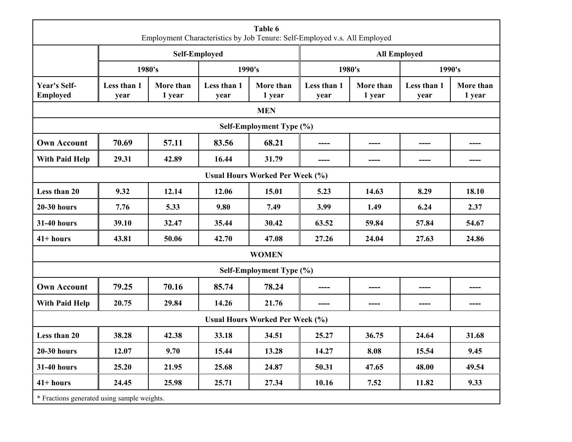| Table 6<br>Employment Characteristics by Job Tenure: Self-Employed v.s. All Employed |                      |                     |                     |                          |                     |                     |                     |                     |  |  |  |  |
|--------------------------------------------------------------------------------------|----------------------|---------------------|---------------------|--------------------------|---------------------|---------------------|---------------------|---------------------|--|--|--|--|
|                                                                                      | <b>Self-Employed</b> |                     |                     |                          | <b>All Employed</b> |                     |                     |                     |  |  |  |  |
|                                                                                      |                      | 1980's              | 1990's              |                          | 1980's              |                     | 1990's              |                     |  |  |  |  |
| <b>Year's Self-</b><br><b>Employed</b>                                               | Less than 1<br>year  | More than<br>1 year | Less than 1<br>year | More than<br>1 year      | Less than 1<br>year | More than<br>1 year | Less than 1<br>year | More than<br>1 year |  |  |  |  |
| <b>MEN</b>                                                                           |                      |                     |                     |                          |                     |                     |                     |                     |  |  |  |  |
| Self-Employment Type (%)                                                             |                      |                     |                     |                          |                     |                     |                     |                     |  |  |  |  |
| <b>Own Account</b>                                                                   | 70.69                | 57.11               | 83.56               | 68.21                    | ----                | ----                | ----                | ----                |  |  |  |  |
| <b>With Paid Help</b>                                                                | 29.31                | 42.89               | 16.44               | 31.79                    | ----                | ----                | ----                | ----                |  |  |  |  |
| <b>Usual Hours Worked Per Week (%)</b>                                               |                      |                     |                     |                          |                     |                     |                     |                     |  |  |  |  |
| Less than 20                                                                         | 9.32                 | 12.14               | 12.06               | 15.01                    | 5.23                | 14.63               | 8.29                | 18.10               |  |  |  |  |
| <b>20-30 hours</b>                                                                   | 7.76                 | 5.33                | 9.80                | 7.49                     | 3.99                | 1.49                | 6.24                | 2.37                |  |  |  |  |
| <b>31-40 hours</b>                                                                   | 39.10                | 32.47               | 35.44               | 30.42                    | 63.52               | 59.84               | 57.84               | 54.67               |  |  |  |  |
| $41+ hours$                                                                          | 43.81                | 50.06               | 42.70               | 47.08                    | 27.26               | 24.04               | 27.63               | 24.86               |  |  |  |  |
| <b>WOMEN</b>                                                                         |                      |                     |                     |                          |                     |                     |                     |                     |  |  |  |  |
|                                                                                      |                      |                     |                     | Self-Employment Type (%) |                     |                     |                     |                     |  |  |  |  |
| <b>Own Account</b>                                                                   | 79.25                | 70.16               | 85.74               | 78.24                    | ----                |                     |                     |                     |  |  |  |  |
| <b>With Paid Help</b>                                                                | 20.75                | 29.84               | 14.26               | 21.76                    | ----                | ----                | ----                | ----                |  |  |  |  |
| <b>Usual Hours Worked Per Week (%)</b>                                               |                      |                     |                     |                          |                     |                     |                     |                     |  |  |  |  |
| Less than 20                                                                         | 38.28                | 42.38               | 33.18               | 34.51                    | 25.27               | 36.75               | 24.64               | 31.68               |  |  |  |  |
| <b>20-30 hours</b>                                                                   | 12.07                | 9.70                | 15.44               | 13.28                    | 14.27               | 8.08                | 15.54               | 9.45                |  |  |  |  |
| <b>31-40 hours</b>                                                                   | 25.20                | 21.95               | 25.68               | 24.87                    | 50.31               | 47.65               | 48.00               | 49.54               |  |  |  |  |
| $41+ hours$                                                                          | 24.45                | 25.98               | 25.71               | 27.34                    | 10.16               | 7.52                | 11.82               | 9.33                |  |  |  |  |
| * Fractions generated using sample weights.                                          |                      |                     |                     |                          |                     |                     |                     |                     |  |  |  |  |